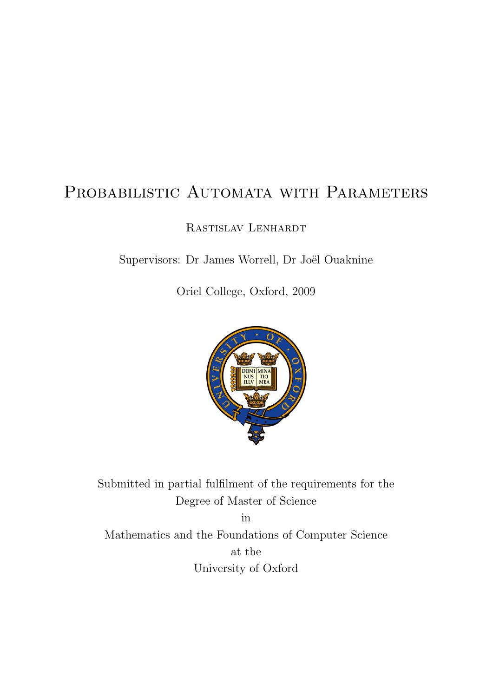## <span id="page-0-0"></span>PROBABILISTIC AUTOMATA WITH PARAMETERS

Rastislav Lenhardt

Supervisors: Dr James Worrell, Dr Joël Ouaknine

Oriel College, Oxford, 2009



Submitted in partial fulfilment of the requirements for the Degree of Master of Science

in Mathematics and the Foundations of Computer Science at the University of Oxford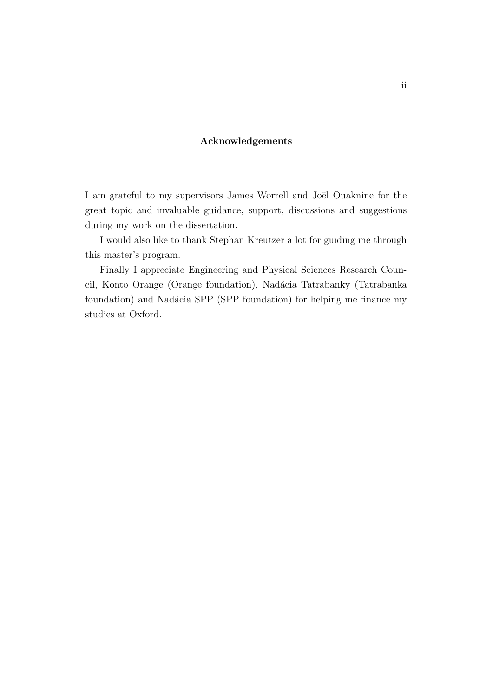### Acknowledgements

I am grateful to my supervisors James Worrell and Joël Ouaknine for the great topic and invaluable guidance, support, discussions and suggestions during my work on the dissertation.

I would also like to thank Stephan Kreutzer a lot for guiding me through this master's program.

Finally I appreciate Engineering and Physical Sciences Research Council, Konto Orange (Orange foundation), Nadácia Tatrabanky (Tatrabanka foundation) and Nadácia SPP (SPP foundation) for helping me finance my studies at Oxford.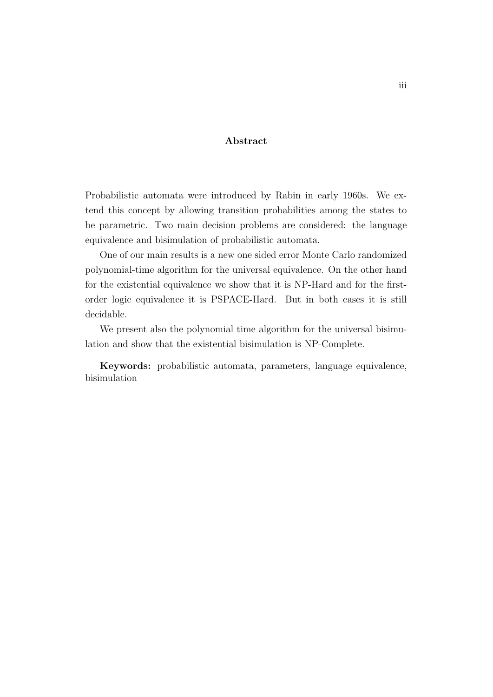### Abstract

Probabilistic automata were introduced by Rabin in early 1960s. We extend this concept by allowing transition probabilities among the states to be parametric. Two main decision problems are considered: the language equivalence and bisimulation of probabilistic automata.

One of our main results is a new one sided error Monte Carlo randomized polynomial-time algorithm for the universal equivalence. On the other hand for the existential equivalence we show that it is NP-Hard and for the firstorder logic equivalence it is PSPACE-Hard. But in both cases it is still decidable.

We present also the polynomial time algorithm for the universal bisimulation and show that the existential bisimulation is NP-Complete.

Keywords: probabilistic automata, parameters, language equivalence, bisimulation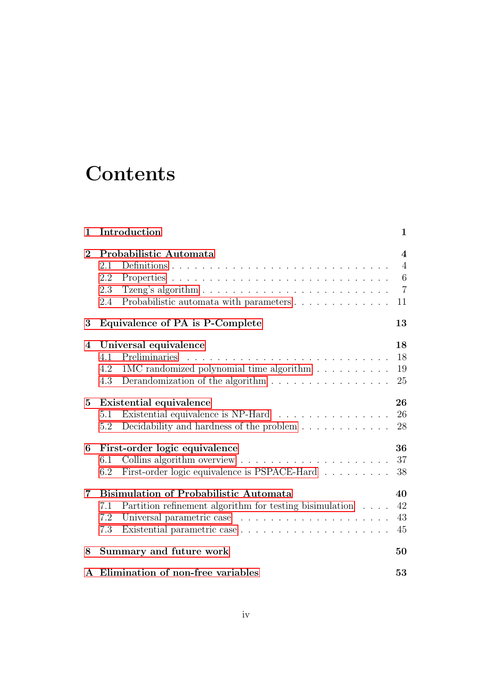## **Contents**

| 1              | Introduction                                                                         | 1                       |
|----------------|--------------------------------------------------------------------------------------|-------------------------|
| $\overline{2}$ | Probabilistic Automata                                                               | $\overline{\mathbf{4}}$ |
|                | 2.1                                                                                  | $\overline{4}$          |
|                | 2.2                                                                                  | 6                       |
|                | 2.3                                                                                  | $\overline{7}$          |
|                | Probabilistic automata with parameters<br>2.4                                        | 11                      |
| 3              | Equivalence of PA is P-Complete                                                      | 13                      |
| 4              | Universal equivalence                                                                | 18                      |
|                | Preliminaries<br>4.1                                                                 | 18                      |
|                | 1MC randomized polynomial time algorithm<br>4.2                                      | 19                      |
|                | 4.3<br>Derandomization of the algorithm $\ldots \ldots \ldots \ldots \ldots$         | 25                      |
| 5              | Existential equivalence                                                              | 26                      |
|                | Existential equivalence is NP-Hard<br>5.1                                            | 26                      |
|                | Decidability and hardness of the problem $\ldots \ldots \ldots \ldots$<br>5.2        | 28                      |
| 6              | First-order logic equivalence                                                        | 36                      |
|                | 6.1                                                                                  | 37                      |
|                | First-order logic equivalence is PSPACE-Hard $\hfill\ldots\ldots\ldots\ldots$<br>6.2 | 38                      |
| $\overline{7}$ | <b>Bisimulation of Probabilistic Automata</b>                                        | 40                      |
|                | Partition refinement algorithm for testing bisimulation<br>7.1                       | 42                      |
|                | 7.2                                                                                  | 43                      |
|                | 7.3                                                                                  | 45                      |
| 8              | Summary and future work                                                              | 50                      |
|                | A Elimination of non-free variables                                                  | 53                      |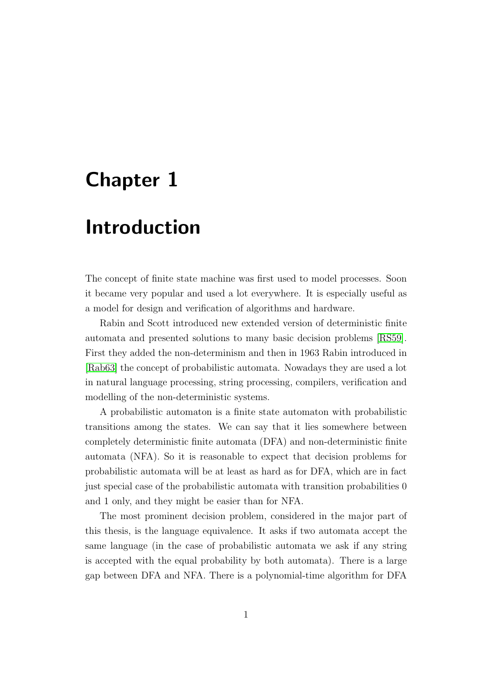## <span id="page-4-0"></span>Chapter 1

## Introduction

The concept of finite state machine was first used to model processes. Soon it became very popular and used a lot everywhere. It is especially useful as a model for design and verification of algorithms and hardware.

Rabin and Scott introduced new extended version of deterministic finite automata and presented solutions to many basic decision problems [\[RS59\]](#page-61-0). First they added the non-determinism and then in 1963 Rabin introduced in [\[Rab63\]](#page-61-1) the concept of probabilistic automata. Nowadays they are used a lot in natural language processing, string processing, compilers, verification and modelling of the non-deterministic systems.

A probabilistic automaton is a finite state automaton with probabilistic transitions among the states. We can say that it lies somewhere between completely deterministic finite automata (DFA) and non-deterministic finite automata (NFA). So it is reasonable to expect that decision problems for probabilistic automata will be at least as hard as for DFA, which are in fact just special case of the probabilistic automata with transition probabilities 0 and 1 only, and they might be easier than for NFA.

The most prominent decision problem, considered in the major part of this thesis, is the language equivalence. It asks if two automata accept the same language (in the case of probabilistic automata we ask if any string is accepted with the equal probability by both automata). There is a large gap between DFA and NFA. There is a polynomial-time algorithm for DFA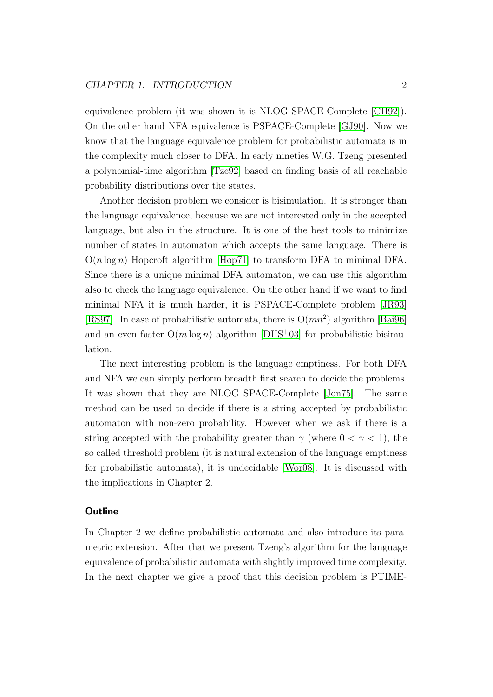equivalence problem (it was shown it is NLOG SPACE-Complete [\[CH92\]](#page-60-0)). On the other hand NFA equivalence is PSPACE-Complete [\[GJ90\]](#page-61-2). Now we know that the language equivalence problem for probabilistic automata is in the complexity much closer to DFA. In early nineties W.G. Tzeng presented a polynomial-time algorithm [\[Tze92\]](#page-62-0) based on finding basis of all reachable probability distributions over the states.

Another decision problem we consider is bisimulation. It is stronger than the language equivalence, because we are not interested only in the accepted language, but also in the structure. It is one of the best tools to minimize number of states in automaton which accepts the same language. There is  $O(n \log n)$  Hopcroft algorithm [\[Hop71\]](#page-61-3) to transform DFA to minimal DFA. Since there is a unique minimal DFA automaton, we can use this algorithm also to check the language equivalence. On the other hand if we want to find minimal NFA it is much harder, it is PSPACE-Complete problem [\[JR93\]](#page-61-4) [\[RS97\]](#page-62-1). In case of probabilistic automata, there is  $O(mn^2)$  algorithm [\[Bai96\]](#page-60-1) and an even faster  $O(m \log n)$  algorithm [\[DHS](#page-60-2)+03] for probabilistic bisimulation.

The next interesting problem is the language emptiness. For both DFA and NFA we can simply perform breadth first search to decide the problems. It was shown that they are NLOG SPACE-Complete [\[Jon75\]](#page-61-5). The same method can be used to decide if there is a string accepted by probabilistic automaton with non-zero probability. However when we ask if there is a string accepted with the probability greater than  $\gamma$  (where  $0 < \gamma < 1$ ), the so called threshold problem (it is natural extension of the language emptiness for probabilistic automata), it is undecidable [\[Wor08\]](#page-62-2). It is discussed with the implications in Chapter 2.

### **Outline**

In Chapter 2 we define probabilistic automata and also introduce its parametric extension. After that we present Tzeng's algorithm for the language equivalence of probabilistic automata with slightly improved time complexity. In the next chapter we give a proof that this decision problem is PTIME-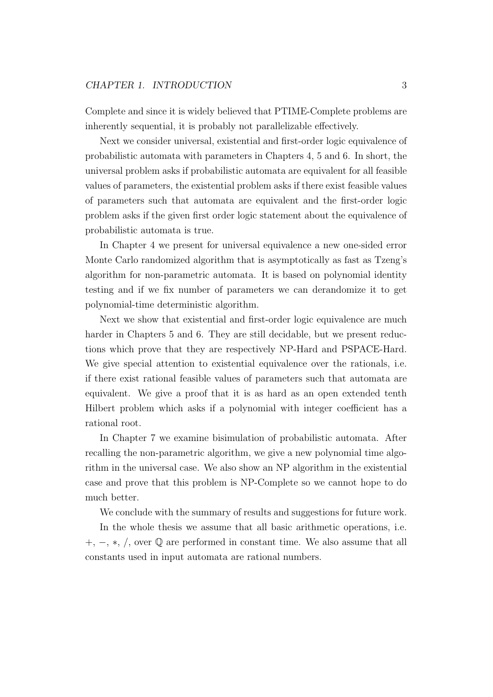Complete and since it is widely believed that PTIME-Complete problems are inherently sequential, it is probably not parallelizable effectively.

Next we consider universal, existential and first-order logic equivalence of probabilistic automata with parameters in Chapters 4, 5 and 6. In short, the universal problem asks if probabilistic automata are equivalent for all feasible values of parameters, the existential problem asks if there exist feasible values of parameters such that automata are equivalent and the first-order logic problem asks if the given first order logic statement about the equivalence of probabilistic automata is true.

In Chapter 4 we present for universal equivalence a new one-sided error Monte Carlo randomized algorithm that is asymptotically as fast as Tzeng's algorithm for non-parametric automata. It is based on polynomial identity testing and if we fix number of parameters we can derandomize it to get polynomial-time deterministic algorithm.

Next we show that existential and first-order logic equivalence are much harder in Chapters 5 and 6. They are still decidable, but we present reductions which prove that they are respectively NP-Hard and PSPACE-Hard. We give special attention to existential equivalence over the rationals, i.e. if there exist rational feasible values of parameters such that automata are equivalent. We give a proof that it is as hard as an open extended tenth Hilbert problem which asks if a polynomial with integer coefficient has a rational root.

In Chapter 7 we examine bisimulation of probabilistic automata. After recalling the non-parametric algorithm, we give a new polynomial time algorithm in the universal case. We also show an NP algorithm in the existential case and prove that this problem is NP-Complete so we cannot hope to do much better.

We conclude with the summary of results and suggestions for future work.

In the whole thesis we assume that all basic arithmetic operations, i.e. +, −, ∗, /, over ℚ are performed in constant time. We also assume that all constants used in input automata are rational numbers.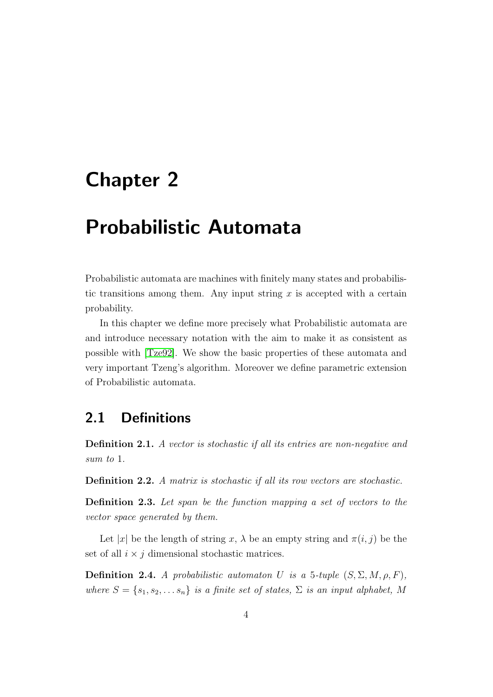## <span id="page-7-0"></span>Chapter 2

## Probabilistic Automata

Probabilistic automata are machines with finitely many states and probabilistic transitions among them. Any input string  $x$  is accepted with a certain probability.

In this chapter we define more precisely what Probabilistic automata are and introduce necessary notation with the aim to make it as consistent as possible with [\[Tze92\]](#page-62-0). We show the basic properties of these automata and very important Tzeng's algorithm. Moreover we define parametric extension of Probabilistic automata.

## <span id="page-7-1"></span>2.1 Definitions

Definition 2.1. A vector is stochastic if all its entries are non-negative and sum to 1.

Definition 2.2. A matrix is stochastic if all its row vectors are stochastic.

**Definition 2.3.** Let span be the function mapping a set of vectors to the vector space generated by them.

Let |x| be the length of string x,  $\lambda$  be an empty string and  $\pi(i, j)$  be the set of all  $i \times j$  dimensional stochastic matrices.

**Definition 2.4.** A probabilistic automator U is a 5-tuple  $(S, \Sigma, M, \rho, F)$ , where  $S = \{s_1, s_2, \ldots s_n\}$  is a finite set of states,  $\Sigma$  is an input alphabet, M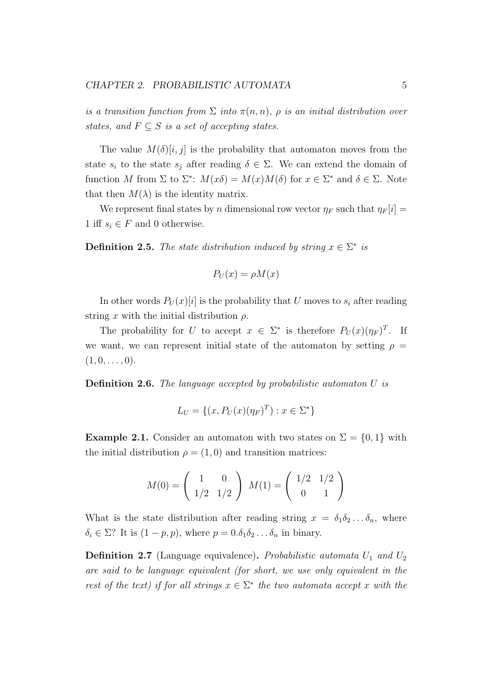is a transition function from  $\Sigma$  into  $\pi(n,n)$ ,  $\rho$  is an initial distribution over states, and  $F \subseteq S$  is a set of accepting states.

The value  $M(\delta)[i, j]$  is the probability that automaton moves from the state  $s_i$  to the state  $s_j$  after reading  $\delta \in \Sigma$ . We can extend the domain of function M from  $\Sigma$  to  $\Sigma^*$ :  $M(x\delta) = M(x)M(\delta)$  for  $x \in \Sigma^*$  and  $\delta \in \Sigma$ . Note that then  $M(\lambda)$  is the identity matrix.

We represent final states by n dimensional row vector  $\eta_F$  such that  $\eta_F[i] =$ 1 iff  $s_i \in F$  and 0 otherwise.

**Definition 2.5.** The state distribution induced by string  $x \in \Sigma^*$  is

$$
P_U(x) = \rho M(x)
$$

In other words  $P_U(x)[i]$  is the probability that U moves to  $s_i$  after reading string x with the initial distribution  $\rho$ .

The probability for U to accept  $x \in \Sigma^*$  is therefore  $P_U(x)(\eta_F)^T$ . If we want, we can represent initial state of the automaton by setting  $\rho =$  $(1, 0, \ldots, 0).$ 

**Definition 2.6.** The language accepted by probabilistic automator  $U$  is

$$
L_U = \{(x, P_U(x)(\eta_F)^T) : x \in \Sigma^*\}
$$

**Example 2.1.** Consider an automaton with two states on  $\Sigma = \{0, 1\}$  with the initial distribution  $\rho = (1, 0)$  and transition matrices:

$$
M(0) = \begin{pmatrix} 1 & 0 \\ 1/2 & 1/2 \end{pmatrix} M(1) = \begin{pmatrix} 1/2 & 1/2 \\ 0 & 1 \end{pmatrix}
$$

What is the state distribution after reading string  $x = \delta_1 \delta_2 \ldots \delta_n$ , where  $\delta_i \in \Sigma$ ? It is  $(1 - p, p)$ , where  $p = 0.\delta_1 \delta_2 \ldots \delta_n$  in binary.

**Definition 2.7** (Language equivalence). Probabilistic automata  $U_1$  and  $U_2$ are said to be language equivalent (for short, we use only equivalent in the rest of the text) if for all strings  $x \in \Sigma^*$  the two automata accept x with the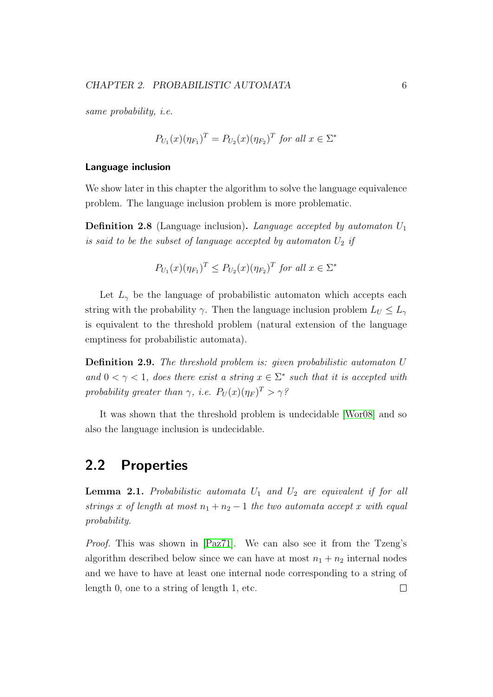same probability, i.e.

$$
P_{U_1}(x)(\eta_{F_1})^T = P_{U_2}(x)(\eta_{F_2})^T \text{ for all } x \in \Sigma^*
$$

#### Language inclusion

We show later in this chapter the algorithm to solve the language equivalence problem. The language inclusion problem is more problematic.

**Definition 2.8** (Language inclusion). Language accepted by automaton  $U_1$ is said to be the subset of language accepted by automaton  $U_2$  if

$$
P_{U_1}(x)(\eta_{F_1})^T \le P_{U_2}(x)(\eta_{F_2})^T
$$
 for all  $x \in \Sigma^*$ 

Let  $L_{\gamma}$  be the language of probabilistic automaton which accepts each string with the probability  $\gamma$ . Then the language inclusion problem  $L_U \leq L_{\gamma}$ is equivalent to the threshold problem (natural extension of the language emptiness for probabilistic automata).

**Definition 2.9.** The threshold problem is: given probabilistic automaton U and  $0 < \gamma < 1$ , does there exist a string  $x \in \Sigma^*$  such that it is accepted with probability greater than  $\gamma$ , i.e.  $P_U(x)(\eta_F)^T > \gamma^2$ 

It was shown that the threshold problem is undecidable [\[Wor08\]](#page-62-2) and so also the language inclusion is undecidable.

## <span id="page-9-0"></span>2.2 Properties

<span id="page-9-1"></span>**Lemma 2.1.** Probabilistic automata  $U_1$  and  $U_2$  are equivalent if for all strings x of length at most  $n_1 + n_2 - 1$  the two automata accept x with equal probability.

Proof. This was shown in [\[Paz71\]](#page-61-6). We can also see it from the Tzeng's algorithm described below since we can have at most  $n_1 + n_2$  internal nodes and we have to have at least one internal node corresponding to a string of length 0, one to a string of length 1, etc. $\Box$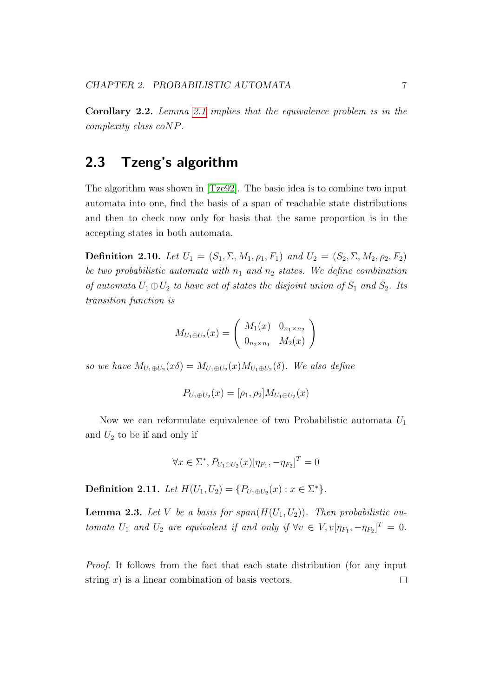Corollary 2.2. Lemma [2.1](#page-9-1) implies that the equivalence problem is in the complexity class  $coNP$ .

## <span id="page-10-0"></span>2.3 Tzeng's algorithm

The algorithm was shown in [\[Tze92\]](#page-62-0). The basic idea is to combine two input automata into one, find the basis of a span of reachable state distributions and then to check now only for basis that the same proportion is in the accepting states in both automata.

<span id="page-10-2"></span>Definition 2.10. Let  $U_1 = (S_1, \Sigma, M_1, \rho_1, F_1)$  and  $U_2 = (S_2, \Sigma, M_2, \rho_2, F_2)$ be two probabilistic automata with  $n_1$  and  $n_2$  states. We define combination of automata  $U_1 \oplus U_2$  to have set of states the disjoint union of  $S_1$  and  $S_2$ . Its transition function is

$$
M_{U_1 \oplus U_2}(x) = \begin{pmatrix} M_1(x) & 0_{n_1 \times n_2} \\ 0_{n_2 \times n_1} & M_2(x) \end{pmatrix}
$$

so we have  $M_{U_1\oplus U_2}(x\delta) = M_{U_1\oplus U_2}(x)M_{U_1\oplus U_2}(\delta)$ . We also define

$$
P_{U_1 \oplus U_2}(x) = [\rho_1, \rho_2] M_{U_1 \oplus U_2}(x)
$$

Now we can reformulate equivalence of two Probabilistic automata  $U_1$ and  $U_2$  to be if and only if

$$
\forall x \in \Sigma^*, P_{U_1 \oplus U_2}(x) [\eta_{F_1}, -\eta_{F_2}]^T = 0
$$

Definition 2.11. Let  $H(U_1, U_2) = \{P_{U_1 \oplus U_2}(x) : x \in \Sigma^*\}.$ 

<span id="page-10-1"></span>**Lemma 2.3.** Let V be a basis for span $(H(U_1, U_2))$ . Then probabilistic automata  $U_1$  and  $U_2$  are equivalent if and only if  $\forall v \in V$ ,  $v[\eta_{F_1}, -\eta_{F_2}]^T = 0$ .

Proof. It follows from the fact that each state distribution (for any input string  $x$ ) is a linear combination of basis vectors.  $\Box$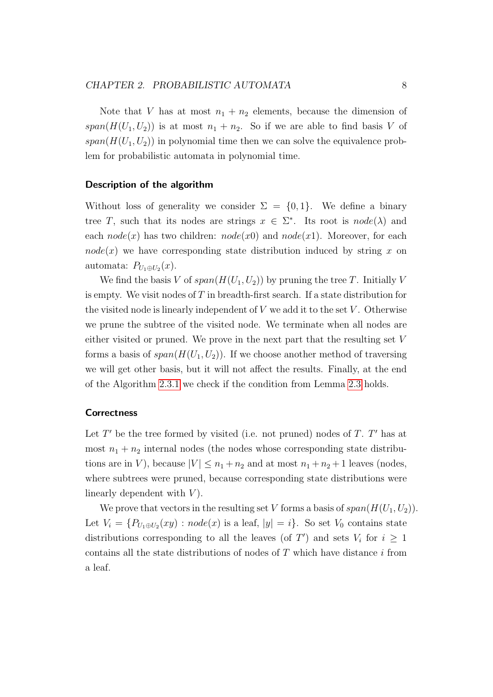Note that V has at most  $n_1 + n_2$  elements, because the dimension of  $span(H(U_1, U_2))$  is at most  $n_1 + n_2$ . So if we are able to find basis V of  $span(H(U_1, U_2))$  in polynomial time then we can solve the equivalence problem for probabilistic automata in polynomial time.

#### Description of the algorithm

Without loss of generality we consider  $\Sigma = \{0, 1\}$ . We define a binary tree T, such that its nodes are strings  $x \in \Sigma^*$ . Its root is  $node(\lambda)$  and each  $node(x)$  has two children:  $node(x)$  and  $node(x1)$ . Moreover, for each  $node(x)$  we have corresponding state distribution induced by string x on automata:  $P_{U_1\oplus U_2}(x)$ .

We find the basis V of  $span(H(U_1, U_2))$  by pruning the tree T. Initially V is empty. We visit nodes of  $T$  in breadth-first search. If a state distribution for the visited node is linearly independent of  $V$  we add it to the set  $V$ . Otherwise we prune the subtree of the visited node. We terminate when all nodes are either visited or pruned. We prove in the next part that the resulting set  $V$ forms a basis of  $span(H(U_1, U_2))$ . If we choose another method of traversing we will get other basis, but it will not affect the results. Finally, at the end of the Algorithm [2.3.1](#page-12-0) we check if the condition from Lemma [2.3](#page-10-1) holds.

### **Correctness**

Let  $T'$  be the tree formed by visited (i.e. not pruned) nodes of  $T$ .  $T'$  has at most  $n_1 + n_2$  internal nodes (the nodes whose corresponding state distributions are in V), because  $|V| \leq n_1 + n_2$  and at most  $n_1 + n_2 + 1$  leaves (nodes, where subtrees were pruned, because corresponding state distributions were linearly dependent with  $V$ ).

We prove that vectors in the resulting set V forms a basis of  $span(H(U_1, U_2))$ . Let  $V_i = \{P_{U_1 \oplus U_2}(xy) : node(x)$  is a leaf,  $|y| = i\}$ . So set  $V_0$  contains state distributions corresponding to all the leaves (of  $T'$ ) and sets  $V_i$  for  $i \geq 1$ contains all the state distributions of nodes of  $T$  which have distance  $i$  from a leaf.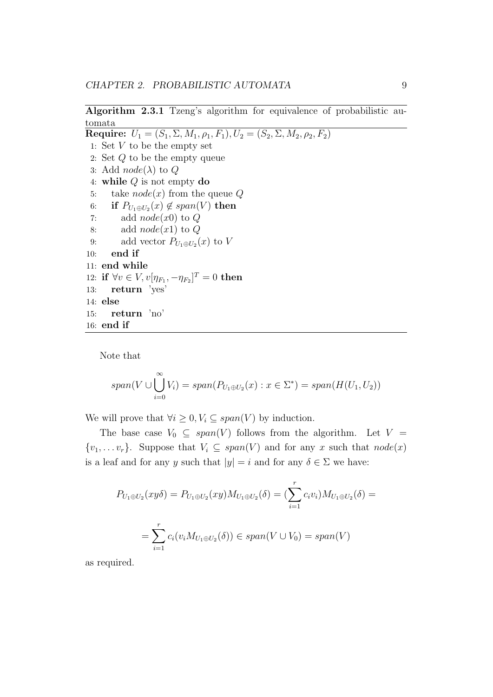Algorithm 2.3.1 Tzeng's algorithm for equivalence of probabilistic automata

<span id="page-12-0"></span>Require:  $U_1 = (S_1, \Sigma, M_1, \rho_1, F_1), U_2 = (S_2, \Sigma, M_2, \rho_2, F_2)$ 1: Set  $V$  to be the empty set 2: Set  $Q$  to be the empty queue 3: Add  $node(\lambda)$  to  $Q$ 4: while  $Q$  is not empty do 5: take  $node(x)$  from the queue  $Q$ 6: if  $P_{U_1 \oplus U_2}(x) \notin span(V)$  then 7: add  $node(x0)$  to  $Q$ 8: add  $node(x1)$  to  $Q$ 9: add vector  $P_{U_1 \oplus U_2}(x)$  to V 10: end if 11: end while 12: if ∀ $v \in V$ ,  $v[\eta_{F_1}, -\eta_{F_2}]^T = 0$  then 13: return 'yes' 14: else 15: return 'no' 16: end if

Note that

$$
span(V \cup \bigcup_{i=0}^{\infty} V_i) = span(P_{U_1 \oplus U_2}(x) : x \in \Sigma^*) = span(H(U_1, U_2))
$$

We will prove that  $\forall i \geq 0, V_i \subseteq span(V)$  by induction.

The base case  $V_0 \subseteq span(V)$  follows from the algorithm. Let  $V =$  $\{v_1, \ldots v_r\}$ . Suppose that  $V_i \subseteq span(V)$  and for any x such that  $node(x)$ is a leaf and for any y such that  $|y| = i$  and for any  $\delta \in \Sigma$  we have:

$$
P_{U_1 \oplus U_2}(xy\delta) = P_{U_1 \oplus U_2}(xy)M_{U_1 \oplus U_2}(\delta) = \left(\sum_{i=1}^r c_i v_i\right)M_{U_1 \oplus U_2}(\delta) =
$$
  
= 
$$
\sum_{i=1}^r c_i(v_i M_{U_1 \oplus U_2}(\delta)) \in span(V \cup V_0) = span(V)
$$

as required.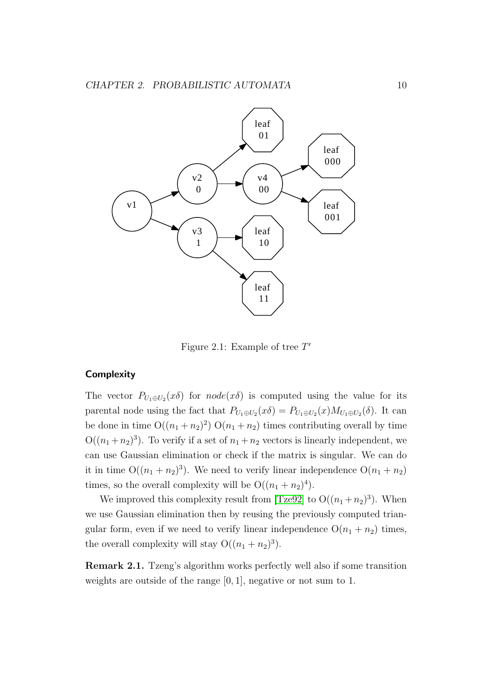

Figure 2.1: Example of tree  $T'$ 

#### <span id="page-13-0"></span>**Complexity**

The vector  $P_{U_1\oplus U_2}(x\delta)$  for  $node(x\delta)$  is computed using the value for its parental node using the fact that  $P_{U_1 \oplus U_2}(x \delta) = P_{U_1 \oplus U_2}(x) M_{U_1 \oplus U_2}(\delta)$ . It can be done in time  $O((n_1 + n_2)^2) O(n_1 + n_2)$  times contributing overall by time  $O((n_1+n_2)^3)$ . To verify if a set of  $n_1+n_2$  vectors is linearly independent, we can use Gaussian elimination or check if the matrix is singular. We can do it in time  $O((n_1 + n_2)^3)$ . We need to verify linear independence  $O(n_1 + n_2)$ times, so the overall complexity will be  $O((n_1 + n_2)^4)$ .

We improved this complexity result from [\[Tze92\]](#page-62-0) to  $O((n_1 + n_2)^3)$ . When we use Gaussian elimination then by reusing the previously computed triangular form, even if we need to verify linear independence  $O(n_1 + n_2)$  times, the overall complexity will stay  $O((n_1 + n_2)^3)$ .

Remark 2.1. Tzeng's algorithm works perfectly well also if some transition weights are outside of the range [0, 1], negative or not sum to 1.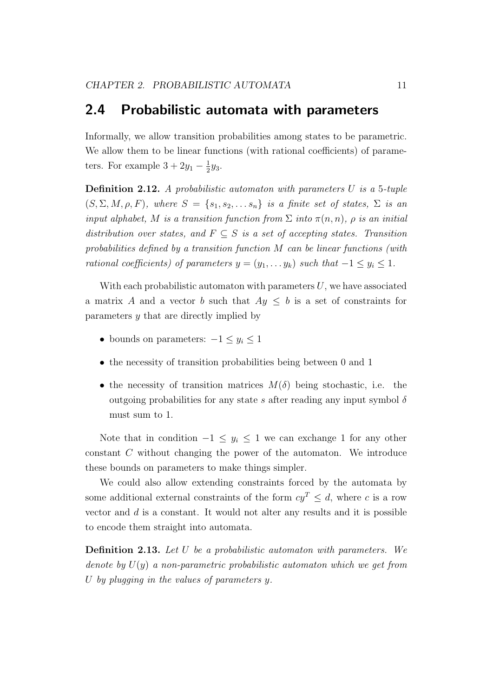## <span id="page-14-0"></span>2.4 Probabilistic automata with parameters

Informally, we allow transition probabilities among states to be parametric. We allow them to be linear functions (with rational coefficients) of parameters. For example  $3+2y_1-\frac{1}{2}$  $rac{1}{2}y_3$ .

**Definition 2.12.** A probabilistic automaton with parameters  $U$  is a 5-tuple  $(S, \Sigma, M, \rho, F)$ , where  $S = \{s_1, s_2, \ldots s_n\}$  is a finite set of states,  $\Sigma$  is an input alphabet, M is a transition function from  $\Sigma$  into  $\pi(n,n)$ ,  $\rho$  is an initial distribution over states, and  $F \subseteq S$  is a set of accepting states. Transition probabilities defined by a transition function  $M$  can be linear functions (with rational coefficients) of parameters  $y = (y_1, \ldots, y_k)$  such that  $-1 \le y_i \le 1$ .

With each probabilistic automaton with parameters  $U$ , we have associated a matrix A and a vector b such that  $Ay \leq b$  is a set of constraints for parameters  $y$  that are directly implied by

- bounds on parameters:  $-1 \leq y_i \leq 1$
- ∙ the necessity of transition probabilities being between 0 and 1
- the necessity of transition matrices  $M(\delta)$  being stochastic, i.e. the outgoing probabilities for any state s after reading any input symbol  $\delta$ must sum to 1.

Note that in condition  $-1 \leq y_i \leq 1$  we can exchange 1 for any other constant  $C$  without changing the power of the automaton. We introduce these bounds on parameters to make things simpler.

We could also allow extending constraints forced by the automata by some additional external constraints of the form  $cy^T \leq d$ , where c is a row vector and  $d$  is a constant. It would not alter any results and it is possible to encode them straight into automata.

**Definition 2.13.** Let  $U$  be a probabilistic automaton with parameters. We denote by  $U(y)$  a non-parametric probabilistic automaton which we get from U by plugging in the values of parameters  $y$ .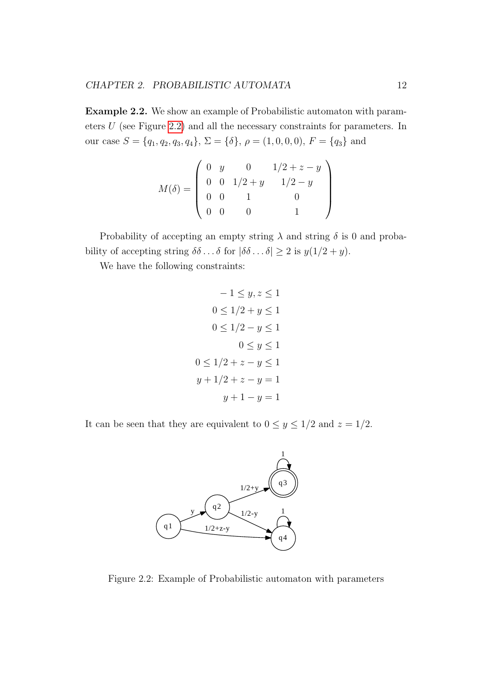Example 2.2. We show an example of Probabilistic automaton with parameters  $U$  (see Figure [2.2\)](#page-15-0) and all the necessary constraints for parameters. In our case  $S = \{q_1, q_2, q_3, q_4\}, \Sigma = \{\delta\}, \rho = (1, 0, 0, 0), F = \{q_3\}$  and

$$
M(\delta) = \begin{pmatrix} 0 & y & 0 & 1/2 + z - y \\ 0 & 0 & 1/2 + y & 1/2 - y \\ 0 & 0 & 1 & 0 \\ 0 & 0 & 0 & 1 \end{pmatrix}
$$

Probability of accepting an empty string  $\lambda$  and string  $\delta$  is 0 and probability of accepting string  $\delta\delta \dots \delta$  for  $|\delta\delta \dots \delta| \geq 2$  is  $y(1/2 + y)$ .

We have the following constraints:

$$
-1 \le y, z \le 1
$$
  
\n
$$
0 \le 1/2 + y \le 1
$$
  
\n
$$
0 \le 1/2 - y \le 1
$$
  
\n
$$
0 \le y \le 1
$$
  
\n
$$
0 \le 1/2 + z - y \le 1
$$
  
\n
$$
y + 1/2 + z - y = 1
$$
  
\n
$$
y + 1 - y = 1
$$

It can be seen that they are equivalent to  $0 \le y \le 1/2$  and  $z = 1/2$ .



<span id="page-15-0"></span>Figure 2.2: Example of Probabilistic automaton with parameters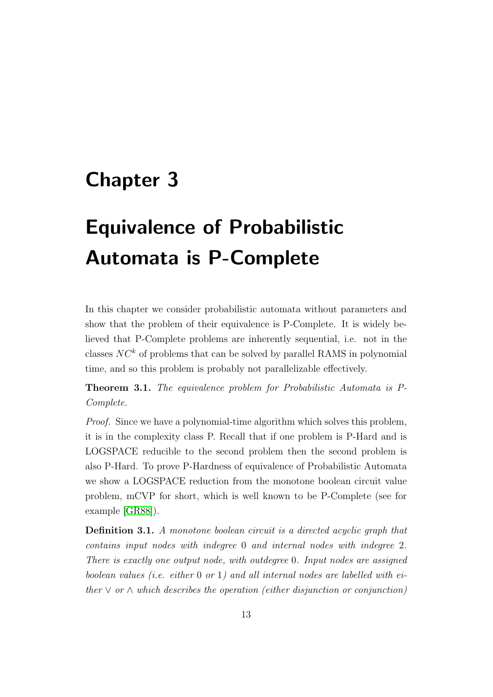## <span id="page-16-0"></span>Chapter 3

# Equivalence of Probabilistic Automata is P-Complete

In this chapter we consider probabilistic automata without parameters and show that the problem of their equivalence is P-Complete. It is widely believed that P-Complete problems are inherently sequential, i.e. not in the classes  $NC^k$  of problems that can be solved by parallel RAMS in polynomial time, and so this problem is probably not parallelizable effectively.

Theorem 3.1. The equivalence problem for Probabilistic Automata is P-Complete.

Proof. Since we have a polynomial-time algorithm which solves this problem, it is in the complexity class P. Recall that if one problem is P-Hard and is LOGSPACE reducible to the second problem then the second problem is also P-Hard. To prove P-Hardness of equivalence of Probabilistic Automata we show a LOGSPACE reduction from the monotone boolean circuit value problem, mCVP for short, which is well known to be P-Complete (see for example [\[GR88\]](#page-61-7)).

Definition 3.1. A monotone boolean circuit is a directed acyclic graph that contains input nodes with indegree 0 and internal nodes with indegree 2. There is exactly one output node, with outdegree 0. Input nodes are assigned boolean values (i.e. either  $0$  or  $1$ ) and all internal nodes are labelled with either  $\vee$  or  $\wedge$  which describes the operation (either disjunction or conjunction)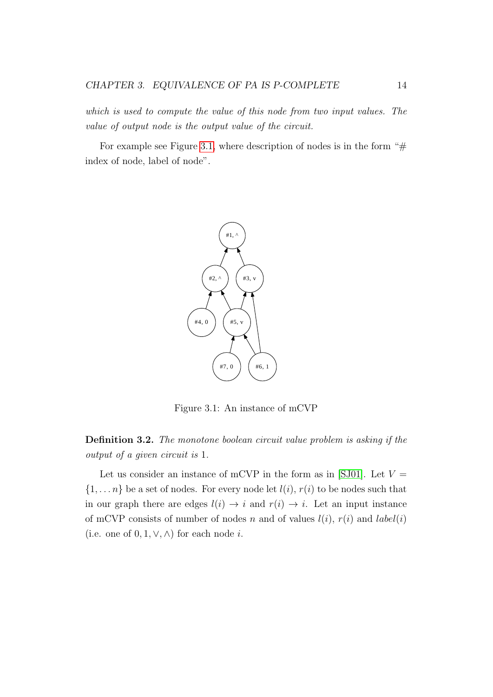which is used to compute the value of this node from two input values. The value of output node is the output value of the circuit.

For example see Figure [3.1,](#page-17-0) where description of nodes is in the form " $#$ index of node, label of node".



Figure 3.1: An instance of mCVP

<span id="page-17-0"></span>Definition 3.2. The monotone boolean circuit value problem is asking if the output of a given circuit is 1.

Let us consider an instance of mCVP in the form as in [\[SJ01\]](#page-62-3). Let  $V =$  $\{1, \ldots n\}$  be a set of nodes. For every node let  $l(i)$ ,  $r(i)$  to be nodes such that in our graph there are edges  $l(i) \rightarrow i$  and  $r(i) \rightarrow i$ . Let an input instance of mCVP consists of number of nodes n and of values  $l(i)$ ,  $r(i)$  and  $label(i)$ (i.e. one of  $0, 1, \vee, \wedge$ ) for each node *i*.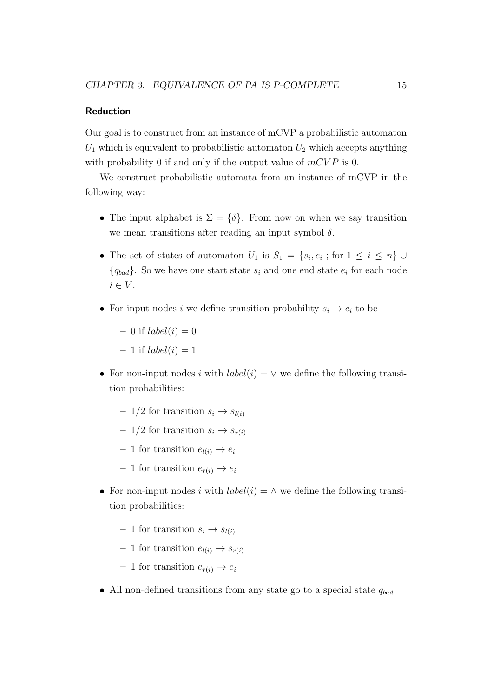#### Reduction

Our goal is to construct from an instance of mCVP a probabilistic automaton  $U_1$  which is equivalent to probabilistic automaton  $U_2$  which accepts anything with probability 0 if and only if the output value of  $mCVP$  is 0.

We construct probabilistic automata from an instance of mCVP in the following way:

- The input alphabet is  $\Sigma = \{\delta\}$ . From now on when we say transition we mean transitions after reading an input symbol  $\delta$ .
- The set of states of automaton  $U_1$  is  $S_1 = \{s_i, e_i; \text{ for } 1 \leq i \leq n\}$  ${q_{bad}}$ . So we have one start state  $s_i$  and one end state  $e_i$  for each node  $i \in V$ .
- For input nodes  $i$  we define transition probability  $s_i \rightarrow e_i$  to be
	- 0 if  $label(i) = 0$
	- 1 if  $label(i) = 1$
- For non-input nodes i with  $label(i) = \vee$  we define the following transition probabilities:
	- 1/2 for transition  $s_i \rightarrow s_{l(i)}$
	- 1/2 for transition  $s_i \rightarrow s_{r(i)}$
	- 1 for transition  $e_{l(i)} \rightarrow e_i$
	- 1 for transition  $e_{r(i)} \rightarrow e_i$
- For non-input nodes i with  $label(i) = \wedge$  we define the following transition probabilities:
	- 1 for transition  $s_i \rightarrow s_{l(i)}$
	- 1 for transition  $e_{l(i)} \rightarrow s_{r(i)}$
	- 1 for transition  $e_{r(i)} \rightarrow e_i$
- All non-defined transitions from any state go to a special state  $q_{bad}$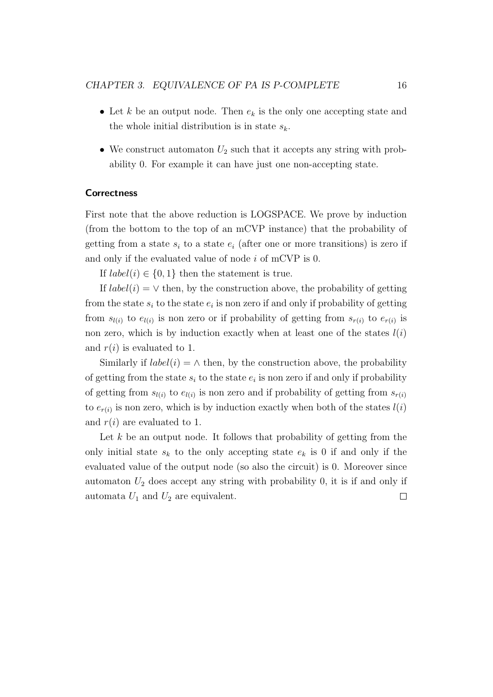- Let k be an output node. Then  $e_k$  is the only one accepting state and the whole initial distribution is in state  $s_k$ .
- We construct automaton  $U_2$  such that it accepts any string with probability 0. For example it can have just one non-accepting state.

#### **Correctness**

First note that the above reduction is LOGSPACE. We prove by induction (from the bottom to the top of an mCVP instance) that the probability of getting from a state  $s_i$  to a state  $e_i$  (after one or more transitions) is zero if and only if the evaluated value of node  $i$  of mCVP is 0.

If  $label(i) \in \{0,1\}$  then the statement is true.

If  $label(i) = \vee$  then, by the construction above, the probability of getting from the state  $s_i$  to the state  $e_i$  is non zero if and only if probability of getting from  $s_{l(i)}$  to  $e_{l(i)}$  is non zero or if probability of getting from  $s_{r(i)}$  to  $e_{r(i)}$  is non zero, which is by induction exactly when at least one of the states  $l(i)$ and  $r(i)$  is evaluated to 1.

Similarly if  $label(i) = \wedge$  then, by the construction above, the probability of getting from the state  $s_i$  to the state  $e_i$  is non zero if and only if probability of getting from  $s_{l(i)}$  to  $e_{l(i)}$  is non zero and if probability of getting from  $s_{r(i)}$ to  $e_{r(i)}$  is non zero, which is by induction exactly when both of the states  $l(i)$ and  $r(i)$  are evaluated to 1.

Let  $k$  be an output node. It follows that probability of getting from the only initial state  $s_k$  to the only accepting state  $e_k$  is 0 if and only if the evaluated value of the output node (so also the circuit) is 0. Moreover since automaton  $U_2$  does accept any string with probability 0, it is if and only if automata  $U_1$  and  $U_2$  are equivalent.  $\Box$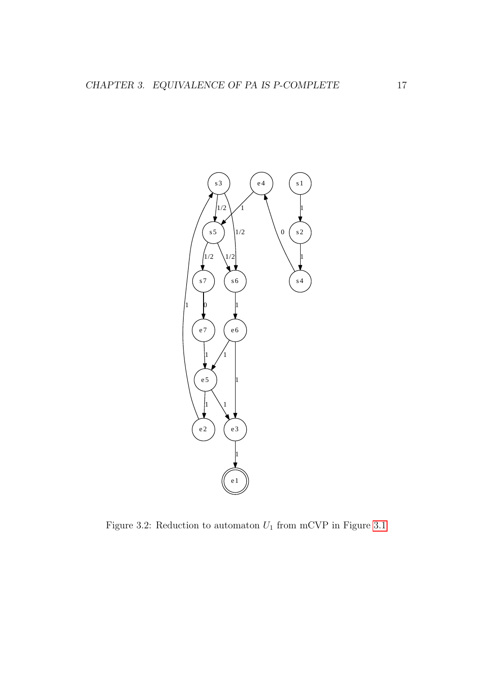

<span id="page-20-0"></span>Figure 3.2: Reduction to automaton  $U_1$  from mCVP in Figure [3.1](#page-17-0)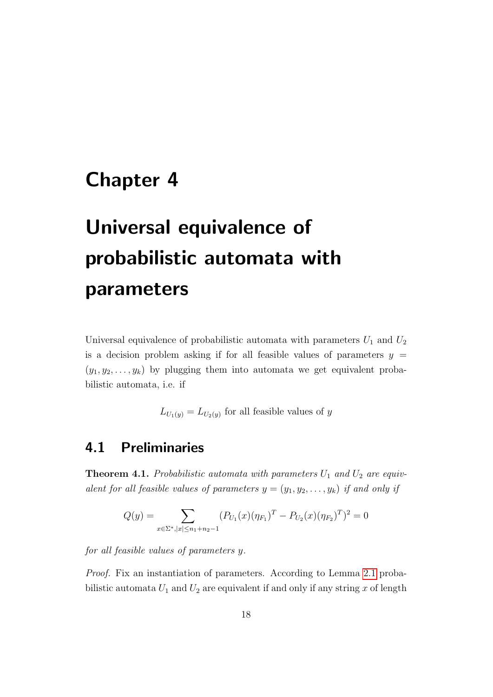## <span id="page-21-0"></span>Chapter 4

# Universal equivalence of probabilistic automata with parameters

Universal equivalence of probabilistic automata with parameters  $U_1$  and  $U_2$ is a decision problem asking if for all feasible values of parameters  $y =$  $(y_1, y_2, \ldots, y_k)$  by plugging them into automata we get equivalent probabilistic automata, i.e. if

 $L_{U_1(y)} = L_{U_2(y)}$  for all feasible values of y

## <span id="page-21-1"></span>4.1 Preliminaries

<span id="page-21-2"></span>**Theorem 4.1.** Probabilistic automata with parameters  $U_1$  and  $U_2$  are equivalent for all feasible values of parameters  $y = (y_1, y_2, \ldots, y_k)$  if and only if

$$
Q(y) = \sum_{x \in \Sigma^*, |x| \le n_1 + n_2 - 1} (P_{U_1}(x)(\eta_{F_1})^T - P_{U_2}(x)(\eta_{F_2})^T)^2 = 0
$$

for all feasible values of parameters y.

Proof. Fix an instantiation of parameters. According to Lemma [2.1](#page-9-1) probabilistic automata  $U_1$  and  $U_2$  are equivalent if and only if any string x of length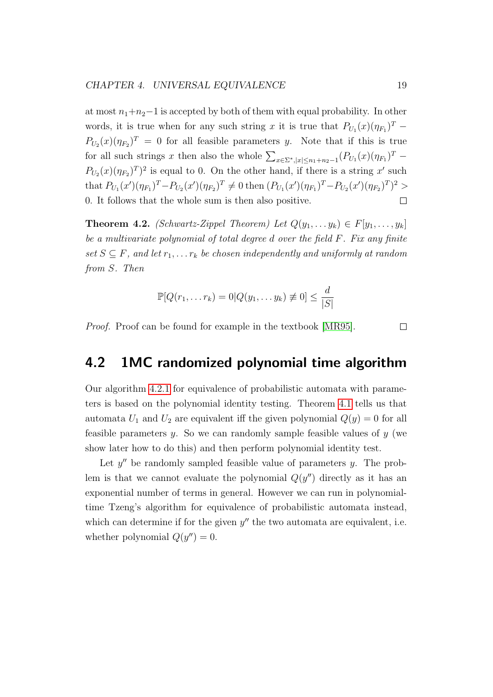at most  $n_1+n_2-1$  is accepted by both of them with equal probability. In other words, it is true when for any such string x it is true that  $P_{U_1}(x)(\eta_{F_1})^T$  –  $P_{U_2}(x)(\eta_{F_2})^T = 0$  for all feasible parameters y. Note that if this is true for all such strings x then also the whole  $\sum_{x \in \Sigma^*, |x| \leq n_1 + n_2 - 1} (P_{U_1}(x)(\eta_{F_1})^T$  –  $P_{U_2}(x)(\eta_{F_2})^T$  is equal to 0. On the other hand, if there is a string  $x'$  such that  $P_{U_1}(x')(\eta_{F_1})^T - P_{U_2}(x')(\eta_{F_2})^T \neq 0$  then  $(P_{U_1}(x')(\eta_{F_1})^T - P_{U_2}(x')(\eta_{F_2})^T)^2 >$ 0. It follows that the whole sum is then also positive.  $\Box$ 

<span id="page-22-1"></span>**Theorem 4.2.** (Schwartz-Zippel Theorem) Let  $Q(y_1, \ldots, y_k) \in F[y_1, \ldots, y_k]$ be a multivariate polynomial of total degree  $d$  over the field  $F$ . Fix any finite set  $S \subseteq F$ , and let  $r_1, \ldots r_k$  be chosen independently and uniformly at random from S. Then

$$
\mathbb{P}[Q(r_1,\ldots r_k) = 0|Q(y_1,\ldots y_k) \neq 0] \leq \frac{d}{|S|}
$$

Proof. Proof can be found for example in the textbook [\[MR95\]](#page-61-8).

<span id="page-22-0"></span>4.2 1MC randomized polynomial time algorithm

Our algorithm [4.2.1](#page-23-0) for equivalence of probabilistic automata with parameters is based on the polynomial identity testing. Theorem [4.1](#page-21-2) tells us that automata  $U_1$  and  $U_2$  are equivalent iff the given polynomial  $Q(y) = 0$  for all feasible parameters  $y$ . So we can randomly sample feasible values of  $y$  (we show later how to do this) and then perform polynomial identity test.

Let  $y''$  be randomly sampled feasible value of parameters  $y$ . The problem is that we cannot evaluate the polynomial  $Q(y'')$  directly as it has an exponential number of terms in general. However we can run in polynomialtime Tzeng's algorithm for equivalence of probabilistic automata instead, which can determine if for the given  $y''$  the two automata are equivalent, i.e. whether polynomial  $Q(y'') = 0$ .

 $\Box$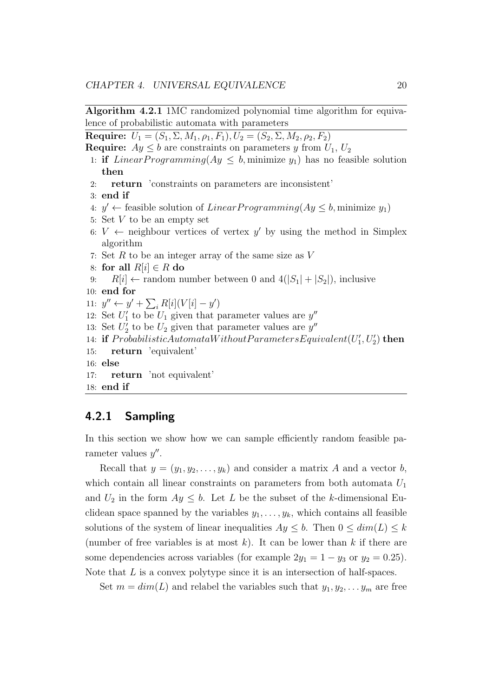Algorithm 4.2.1 1MC randomized polynomial time algorithm for equivalence of probabilistic automata with parameters

<span id="page-23-0"></span>Require:  $U_1 = (S_1, \Sigma, M_1, \rho_1, F_1), U_2 = (S_2, \Sigma, M_2, \rho_2, F_2)$ 

**Require:**  $Ay \leq b$  are constraints on parameters y from  $U_1, U_2$ 

- 1: if *LinearProgramming*( $Ay \leq b$ , minimize  $y_1$ ) has no feasible solution then
- 2: return 'constraints on parameters are inconsistent'
- 3: end if
- 4:  $y' \leftarrow$  feasible solution of *LinearProgramming*( $Ay \leq b$ , minimize  $y_1$ )
- 5: Set  $V$  to be an empty set
- 6:  $V \leftarrow$  neighbour vertices of vertex y' by using the method in Simplex algorithm
- 7: Set  $R$  to be an integer array of the same size as  $V$
- 8: for all  $R[i] \in R$  do
- 9:  $R[i] \leftarrow$  random number between 0 and  $4(|S_1| + |S_2|)$ , inclusive
- 10: end for
- 11:  $y'' \leftarrow y' + \sum_i R[i](V[i] y')$
- 12: Set  $U'_1$  to be  $U_1$  given that parameter values are  $y''$
- 13: Set  $U'_2$  to be  $U_2$  given that parameter values are  $y''$
- 14: if 𝑃 𝑟𝑜𝑏𝑎𝑏𝑖𝑙𝑖𝑠𝑡𝑖𝑐𝐴𝑢𝑡𝑜𝑚𝑎𝑡𝑎𝑊 𝑖𝑡ℎ𝑜𝑢𝑡𝑃 𝑎𝑟𝑎𝑚𝑒𝑡𝑒𝑟𝑠𝐸𝑞𝑢𝑖𝑣𝑎𝑙𝑒𝑛𝑡(𝑈 ′ 1 , 𝑈′ 2 ) then
- 15: return 'equivalent'
- 16: else
- 17: return 'not equivalent'
- 18: end if

### 4.2.1 Sampling

In this section we show how we can sample efficiently random feasible parameter values  $y''$ .

Recall that  $y = (y_1, y_2, \ldots, y_k)$  and consider a matrix A and a vector b, which contain all linear constraints on parameters from both automata  $U_1$ and  $U_2$  in the form  $Ay \leq b$ . Let L be the subset of the k-dimensional Euclidean space spanned by the variables  $y_1, \ldots, y_k$ , which contains all feasible solutions of the system of linear inequalities  $Ay \leq b$ . Then  $0 \leq dim(L) \leq k$ (number of free variables is at most  $k$ ). It can be lower than  $k$  if there are some dependencies across variables (for example  $2y_1 = 1 - y_3$  or  $y_2 = 0.25$ ). Note that  $L$  is a convex polytype since it is an intersection of half-spaces.

Set  $m = dim(L)$  and relabel the variables such that  $y_1, y_2, \ldots, y_m$  are free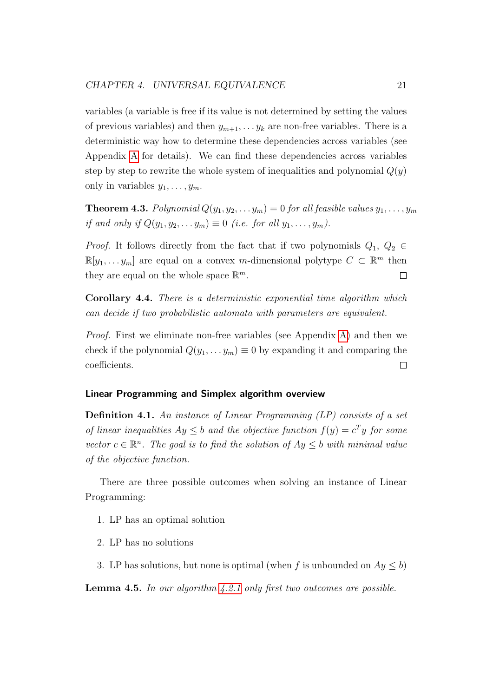variables (a variable is free if its value is not determined by setting the values of previous variables) and then  $y_{m+1}, \ldots, y_k$  are non-free variables. There is a deterministic way how to determine these dependencies across variables (see Appendix [A](#page-56-0) for details). We can find these dependencies across variables step by step to rewrite the whole system of inequalities and polynomial  $Q(y)$ only in variables  $y_1, \ldots, y_m$ .

<span id="page-24-0"></span>**Theorem 4.3.** Polynomial  $Q(y_1, y_2, \ldots, y_m) = 0$  for all feasible values  $y_1, \ldots, y_m$ if and only if  $Q(y_1, y_2, \ldots, y_m) \equiv 0$  (i.e. for all  $y_1, \ldots, y_m$ ).

*Proof.* It follows directly from the fact that if two polynomials  $Q_1, Q_2 \in$  $\mathbb{R}[y_1, \ldots y_m]$  are equal on a convex *m*-dimensional polytype  $C \subset \mathbb{R}^m$  then they are equal on the whole space  $\mathbb{R}^m$ .  $\Box$ 

<span id="page-24-1"></span>Corollary 4.4. There is a deterministic exponential time algorithm which can decide if two probabilistic automata with parameters are equivalent.

Proof. First we eliminate non-free variables (see Appendix [A\)](#page-56-0) and then we check if the polynomial  $Q(y_1, \ldots, y_m) \equiv 0$  by expanding it and comparing the coefficients.  $\Box$ 

### Linear Programming and Simplex algorithm overview

Definition 4.1. An instance of Linear Programming (LP) consists of a set of linear inequalities  $Ay \leq b$  and the objective function  $f(y) = c^T y$  for some vector  $c \in \mathbb{R}^n$ . The goal is to find the solution of  $Ay \leq b$  with minimal value of the objective function.

There are three possible outcomes when solving an instance of Linear Programming:

- 1. LP has an optimal solution
- 2. LP has no solutions
- 3. LP has solutions, but none is optimal (when f is unbounded on  $Ay \leq b$ )

**Lemma 4.5.** In our algorithm  $\angle 2.1$  only first two outcomes are possible.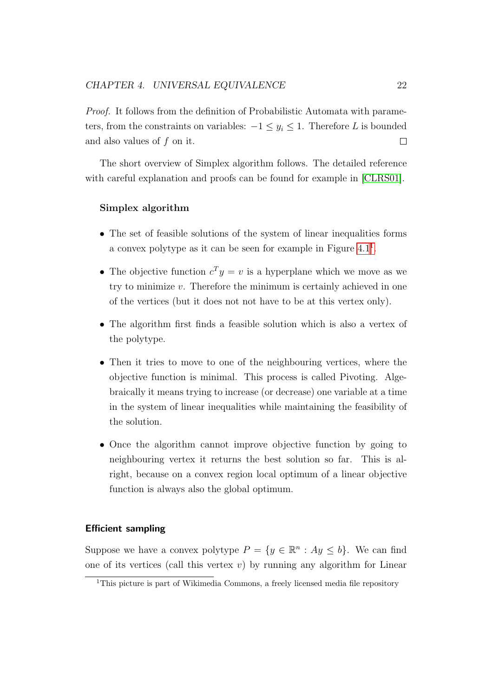Proof. It follows from the definition of Probabilistic Automata with parameters, from the constraints on variables:  $-1 \leq y_i \leq 1$ . Therefore L is bounded and also values of  $f$  on it.  $\Box$ 

The short overview of Simplex algorithm follows. The detailed reference with careful explanation and proofs can be found for example in [\[CLRS01\]](#page-60-3).

#### Simplex algorithm

- ∙ The set of feasible solutions of the system of linear inequalities forms a convex polytype as it can be seen for example in Figure  $4.1<sup>1</sup>$  $4.1<sup>1</sup>$  $4.1<sup>1</sup>$ .
- The objective function  $c^T y = v$  is a hyperplane which we move as we try to minimize  $v$ . Therefore the minimum is certainly achieved in one of the vertices (but it does not not have to be at this vertex only).
- ∙ The algorithm first finds a feasible solution which is also a vertex of the polytype.
- ∙ Then it tries to move to one of the neighbouring vertices, where the objective function is minimal. This process is called Pivoting. Algebraically it means trying to increase (or decrease) one variable at a time in the system of linear inequalities while maintaining the feasibility of the solution.
- ∙ Once the algorithm cannot improve objective function by going to neighbouring vertex it returns the best solution so far. This is alright, because on a convex region local optimum of a linear objective function is always also the global optimum.

#### Efficient sampling

Suppose we have a convex polytype  $P = \{y \in \mathbb{R}^n : Ay \leq b\}$ . We can find one of its vertices (call this vertex  $v$ ) by running any algorithm for Linear

<sup>&</sup>lt;sup>1</sup>This picture is part of Wikimedia Commons, a freely licensed media file repository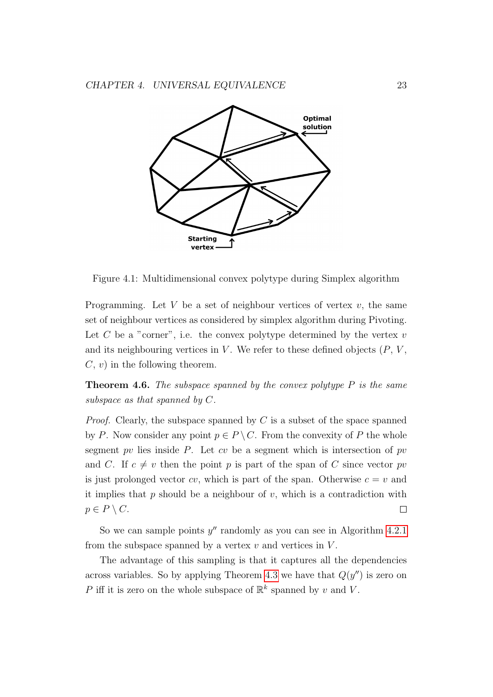

<span id="page-26-0"></span>Figure 4.1: Multidimensional convex polytype during Simplex algorithm

Programming. Let  $V$  be a set of neighbour vertices of vertex  $v$ , the same set of neighbour vertices as considered by simplex algorithm during Pivoting. Let  $C$  be a "corner", i.e. the convex polytype determined by the vertex  $v$ and its neighbouring vertices in  $V$ . We refer to these defined objects  $(P, V, \mathcal{V})$  $C, v$ ) in the following theorem.

**Theorem 4.6.** The subspace spanned by the convex polytype  $P$  is the same subspace as that spanned by  $C$ .

*Proof.* Clearly, the subspace spanned by  $C$  is a subset of the space spanned by P. Now consider any point  $p \in P \backslash C$ . From the convexity of P the whole segment  $pv$  lies inside  $P$ . Let  $cv$  be a segment which is intersection of  $pv$ and C. If  $c \neq v$  then the point p is part of the span of C since vector pv is just prolonged vector  $cv$ , which is part of the span. Otherwise  $c = v$  and it implies that  $p$  should be a neighbour of  $v$ , which is a contradiction with  $p \in P \setminus C$ .  $\Box$ 

So we can sample points  $y''$  randomly as you can see in Algorithm [4.2.1](#page-23-0) from the subspace spanned by a vertex  $v$  and vertices in  $V$ .

The advantage of this sampling is that it captures all the dependencies across variables. So by applying Theorem [4.3](#page-24-0) we have that  $Q(y'')$  is zero on P iff it is zero on the whole subspace of  $\mathbb{R}^k$  spanned by v and V.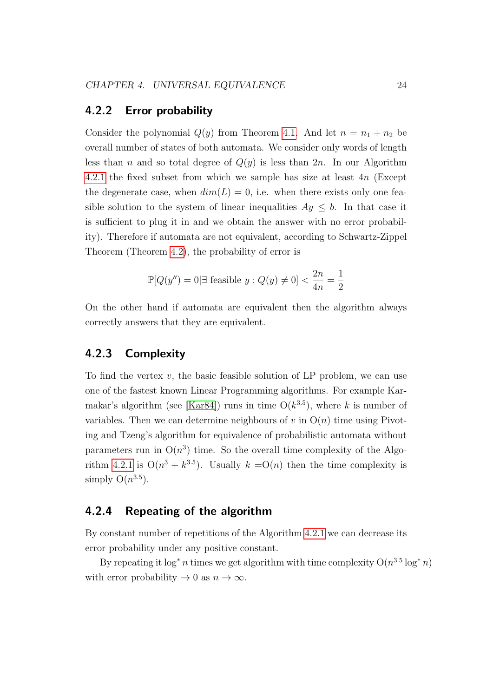### 4.2.2 Error probability

Consider the polynomial  $Q(y)$  from Theorem [4.1.](#page-21-2) And let  $n = n_1 + n_2$  be overall number of states of both automata. We consider only words of length less than n and so total degree of  $Q(y)$  is less than  $2n$ . In our Algorithm [4.2.1](#page-23-0) the fixed subset from which we sample has size at least  $4n$  (Except the degenerate case, when  $dim(L) = 0$ , i.e. when there exists only one feasible solution to the system of linear inequalities  $Ay \leq b$ . In that case it is sufficient to plug it in and we obtain the answer with no error probability). Therefore if automata are not equivalent, according to Schwartz-Zippel Theorem (Theorem [4.2\)](#page-22-1), the probability of error is

$$
\mathbb{P}[Q(y'') = 0 \mid \exists \text{ feasible } y : Q(y) \neq 0] < \frac{2n}{4n} = \frac{1}{2}
$$

On the other hand if automata are equivalent then the algorithm always correctly answers that they are equivalent.

### 4.2.3 Complexity

To find the vertex  $v$ , the basic feasible solution of LP problem, we can use one of the fastest known Linear Programming algorithms. For example Kar-makar's algorithm (see [\[Kar84\]](#page-61-9)) runs in time  $O(k^{3.5})$ , where k is number of variables. Then we can determine neighbours of  $v$  in  $O(n)$  time using Pivoting and Tzeng's algorithm for equivalence of probabilistic automata without parameters run in  $O(n^3)$  time. So the overall time complexity of the Algo-rithm [4.2.1](#page-23-0) is  $O(n^3 + k^{3.5})$ . Usually  $k = O(n)$  then the time complexity is simply  $O(n^{3.5})$ .

### 4.2.4 Repeating of the algorithm

By constant number of repetitions of the Algorithm [4.2.1](#page-23-0) we can decrease its error probability under any positive constant.

By repeating it  $\log^* n$  times we get algorithm with time complexity  $O(n^{3.5} \log^n n)$ with error probability  $\rightarrow 0$  as  $n \rightarrow \infty$ .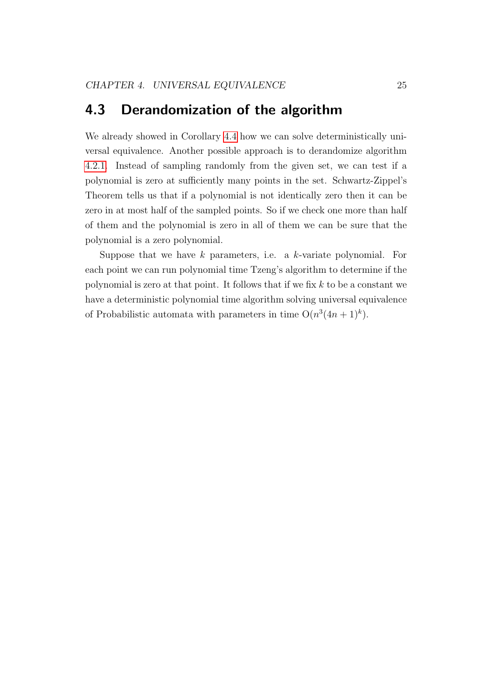## <span id="page-28-0"></span>4.3 Derandomization of the algorithm

We already showed in Corollary [4.4](#page-24-1) how we can solve deterministically universal equivalence. Another possible approach is to derandomize algorithm [4.2.1.](#page-23-0) Instead of sampling randomly from the given set, we can test if a polynomial is zero at sufficiently many points in the set. Schwartz-Zippel's Theorem tells us that if a polynomial is not identically zero then it can be zero in at most half of the sampled points. So if we check one more than half of them and the polynomial is zero in all of them we can be sure that the polynomial is a zero polynomial.

Suppose that we have  $k$  parameters, i.e. a  $k$ -variate polynomial. For each point we can run polynomial time Tzeng's algorithm to determine if the polynomial is zero at that point. It follows that if we fix  $k$  to be a constant we have a deterministic polynomial time algorithm solving universal equivalence of Probabilistic automata with parameters in time  $O(n^3(4n+1)^k)$ .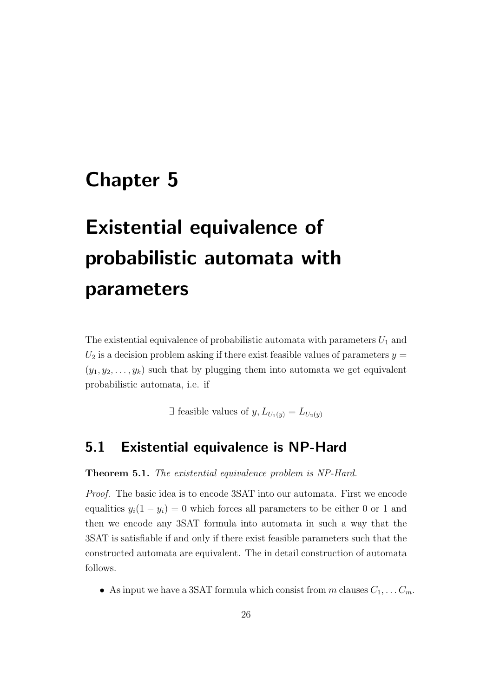## <span id="page-29-0"></span>Chapter 5

# Existential equivalence of probabilistic automata with parameters

The existential equivalence of probabilistic automata with parameters  $U_1$  and  $U_2$  is a decision problem asking if there exist feasible values of parameters  $y =$  $(y_1, y_2, \ldots, y_k)$  such that by plugging them into automata we get equivalent probabilistic automata, i.e. if

 $\exists$  feasible values of  $y, L_{U_1(y)} = L_{U_2(y)}$ 

## <span id="page-29-1"></span>5.1 Existential equivalence is NP-Hard

#### <span id="page-29-2"></span>Theorem 5.1. The existential equivalence problem is NP-Hard.

Proof. The basic idea is to encode 3SAT into our automata. First we encode equalities  $y_i(1 - y_i) = 0$  which forces all parameters to be either 0 or 1 and then we encode any 3SAT formula into automata in such a way that the 3SAT is satisfiable if and only if there exist feasible parameters such that the constructed automata are equivalent. The in detail construction of automata follows.

• As input we have a 3SAT formula which consist from m clauses  $C_1, \ldots, C_m$ .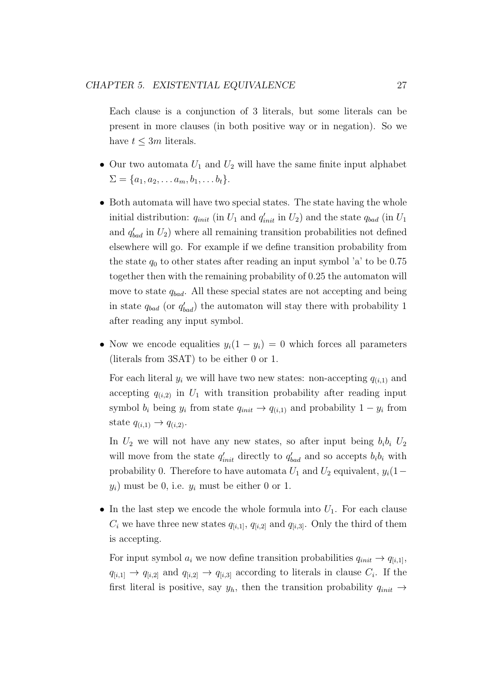Each clause is a conjunction of 3 literals, but some literals can be present in more clauses (in both positive way or in negation). So we have  $t \leq 3m$  literals.

- Our two automata  $U_1$  and  $U_2$  will have the same finite input alphabet  $\Sigma = \{a_1, a_2, \ldots a_m, b_1, \ldots b_t\}.$
- ∙ Both automata will have two special states. The state having the whole initial distribution:  $q_{init}$  (in  $U_1$  and  $q'_{init}$  in  $U_2$ ) and the state  $q_{bad}$  (in  $U_1$ and  $q'_{bad}$  in  $U_2$ ) where all remaining transition probabilities not defined elsewhere will go. For example if we define transition probability from the state  $q_0$  to other states after reading an input symbol 'a' to be 0.75 together then with the remaining probability of 0.25 the automaton will move to state  $q_{bad}$ . All these special states are not accepting and being in state  $q_{bad}$  (or  $q'_{bad}$ ) the automaton will stay there with probability 1 after reading any input symbol.
- Now we encode equalities  $y_i(1 y_i) = 0$  which forces all parameters (literals from 3SAT) to be either 0 or 1.

For each literal  $y_i$  we will have two new states: non-accepting  $q_{(i,1)}$  and accepting  $q_{(i,2)}$  in  $U_1$  with transition probability after reading input symbol  $b_i$  being  $y_i$  from state  $q_{init} \rightarrow q_{i,1}$  and probability  $1 - y_i$  from state  $q_{(i,1)} \rightarrow q_{(i,2)}$ .

In  $U_2$  we will not have any new states, so after input being  $b_i b_i U_2$ will move from the state  $q'_{init}$  directly to  $q'_{bad}$  and so accepts  $b_i b_i$  with probability 0. Therefore to have automata  $U_1$  and  $U_2$  equivalent,  $y_i(1-\tau)$  $y_i$ ) must be 0, i.e.  $y_i$  must be either 0 or 1.

• In the last step we encode the whole formula into  $U_1$ . For each clause  $C_i$  we have three new states  $q_{[i,1]}, q_{[i,2]}$  and  $q_{[i,3]}$ . Only the third of them is accepting.

For input symbol  $a_i$  we now define transition probabilities  $q_{init} \rightarrow q_{[i,1]}$ ,  $q_{[i,1]} \rightarrow q_{[i,2]} \rightarrow q_{[i,2]} \rightarrow q_{[i,3]}$  according to literals in clause  $C_i$ . If the first literal is positive, say  $y_h$ , then the transition probability  $q_{init} \rightarrow$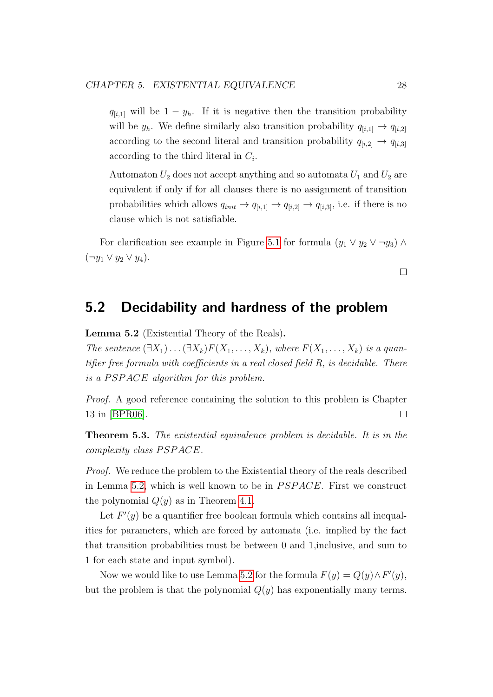$q_{[i,1]}$  will be  $1 - y_h$ . If it is negative then the transition probability will be  $y_h$ . We define similarly also transition probability  $q_{[i,1]} \rightarrow q_{[i,2]}$ according to the second literal and transition probability  $q_{[i,2]} \rightarrow q_{[i,3]}$ according to the third literal in  $C_i$ .

Automaton  $U_2$  does not accept anything and so automata  $U_1$  and  $U_2$  are equivalent if only if for all clauses there is no assignment of transition probabilities which allows  $q_{init} \rightarrow q_{[i,1]} \rightarrow q_{[i,2]} \rightarrow q_{[i,3]}$ , i.e. if there is no clause which is not satisfiable.

For clarification see example in Figure [5.1](#page-32-0) for formula  $(y_1 \vee y_2 \vee \neg y_3) \wedge$  $(\neg y_1 \lor y_2 \lor y_4).$ 

## <span id="page-31-0"></span>5.2 Decidability and hardness of the problem

<span id="page-31-1"></span>Lemma 5.2 (Existential Theory of the Reals).

The sentence  $(\exists X_1)\dots(\exists X_k)F(X_1,\dots,X_k)$ , where  $F(X_1,\dots,X_k)$  is a quantifier free formula with coefficients in a real closed field R, is decidable. There is a  $PSPACE$  algorithm for this problem.

Proof. A good reference containing the solution to this problem is Chapter 13 in [\[BPR06\]](#page-60-4).  $\Box$ 

Theorem 5.3. The existential equivalence problem is decidable. It is in the  $complexity$  class  $PSPACE$ .

Proof. We reduce the problem to the Existential theory of the reals described in Lemma [5.2,](#page-31-1) which is well known to be in  $PSPACE$ . First we construct the polynomial  $Q(y)$  as in Theorem [4.1.](#page-21-2)

Let  $F'(y)$  be a quantifier free boolean formula which contains all inequalities for parameters, which are forced by automata (i.e. implied by the fact that transition probabilities must be between 0 and 1,inclusive, and sum to 1 for each state and input symbol).

Now we would like to use Lemma [5.2](#page-31-1) for the formula  $F(y) = Q(y) \wedge F'(y)$ , but the problem is that the polynomial  $Q(y)$  has exponentially many terms.

 $\Box$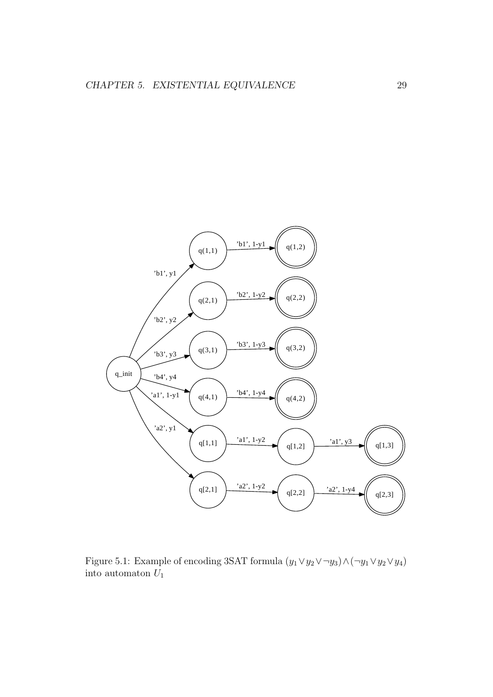

<span id="page-32-0"></span>Figure 5.1: Example of encoding 3SAT formula  $(y_1 \vee y_2 \vee \neg y_3) \wedge (\neg y_1 \vee y_2 \vee y_4)$ into automaton  $\bar{U}_1$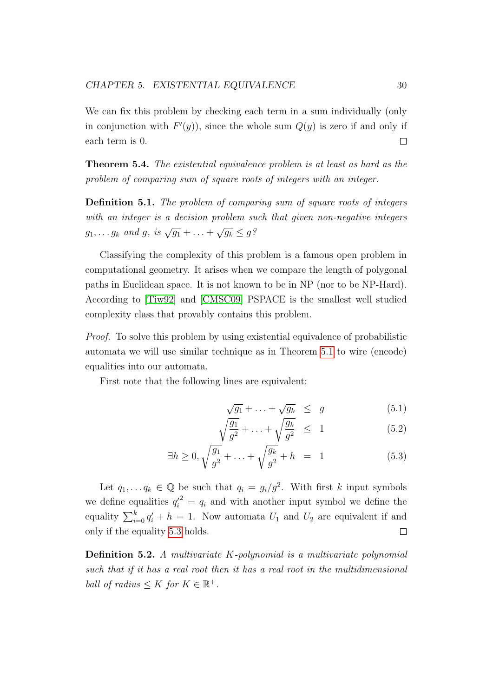We can fix this problem by checking each term in a sum individually (only in conjunction with  $F'(y)$ , since the whole sum  $Q(y)$  is zero if and only if each term is 0.  $\Box$ 

Theorem 5.4. The existential equivalence problem is at least as hard as the problem of comparing sum of square roots of integers with an integer.

Definition 5.1. The problem of comparing sum of square roots of integers with an integer is a decision problem such that given non-negative integers  $g_1, \ldots g_k$  and  $g$ , is  $\sqrt{g_1} + \ldots + \sqrt{g_k} \leq g^{\frac{S}{2}}$ 

Classifying the complexity of this problem is a famous open problem in computational geometry. It arises when we compare the length of polygonal paths in Euclidean space. It is not known to be in NP (nor to be NP-Hard). According to [\[Tiw92\]](#page-62-4) and [\[CMSC09\]](#page-60-5) PSPACE is the smallest well studied complexity class that provably contains this problem.

Proof. To solve this problem by using existential equivalence of probabilistic automata we will use similar technique as in Theorem [5.1](#page-29-2) to wire (encode) equalities into our automata.

First note that the following lines are equivalent:

$$
\sqrt{g_1} + \ldots + \sqrt{g_k} \le g \tag{5.1}
$$

<span id="page-33-0"></span>
$$
\sqrt{\frac{g_1}{g^2}} + \dots + \sqrt{\frac{g_k}{g^2}} \le 1 \tag{5.2}
$$

$$
\exists h \ge 0, \sqrt{\frac{g_1}{g^2}} + \ldots + \sqrt{\frac{g_k}{g^2}} + h = 1 \tag{5.3}
$$

Let  $q_1, \ldots q_k \in \mathbb{Q}$  be such that  $q_i = g_i/g^2$ . With first k input symbols we define equalities  $q_i'^2 = q_i$  and with another input symbol we define the equality  $\sum_{i=0}^{k} q'_i + h = 1$ . Now automata  $U_1$  and  $U_2$  are equivalent if and only if the equality [5.3](#page-33-0) holds.  $\Box$ 

**Definition 5.2.** A multivariate  $K$ -polynomial is a multivariate polynomial such that if it has a real root then it has a real root in the multidimensional ball of radius  $\leq K$  for  $K \in \mathbb{R}^+$ .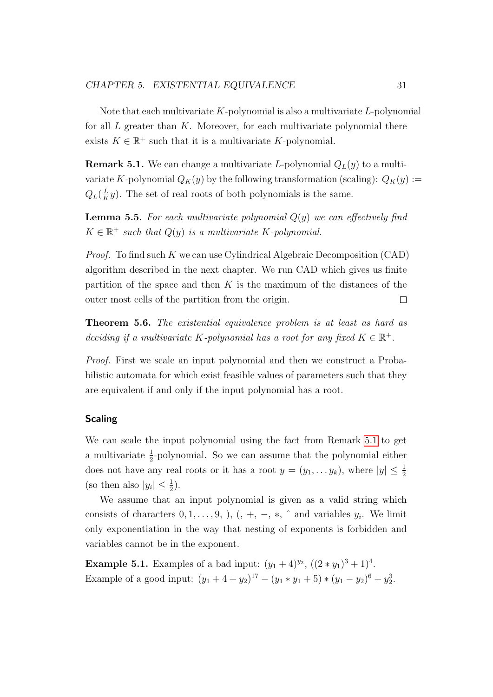Note that each multivariate  $K$ -polynomial is also a multivariate  $L$ -polynomial for all  $L$  greater than  $K$ . Moreover, for each multivariate polynomial there exists  $K \in \mathbb{R}^+$  such that it is a multivariate K-polynomial.

<span id="page-34-0"></span>**Remark 5.1.** We can change a multivariate L-polynomial  $Q_L(y)$  to a multivariate K-polynomial  $Q_K(y)$  by the following transformation (scaling):  $Q_K(y) :=$  $Q_L(\frac{L}{K}$  $\frac{L}{K}y$ ). The set of real roots of both polynomials is the same.

<span id="page-34-1"></span>**Lemma 5.5.** For each multivariate polynomial  $Q(y)$  we can effectively find  $K \in \mathbb{R}^+$  such that  $Q(y)$  is a multivariate  $K$ -polynomial.

*Proof.* To find such  $K$  we can use Cylindrical Algebraic Decomposition (CAD) algorithm described in the next chapter. We run CAD which gives us finite partition of the space and then  $K$  is the maximum of the distances of the outer most cells of the partition from the origin.  $\Box$ 

<span id="page-34-2"></span>Theorem 5.6. The existential equivalence problem is at least as hard as deciding if a multivariate K-polynomial has a root for any fixed  $K \in \mathbb{R}^+$ .

Proof. First we scale an input polynomial and then we construct a Probabilistic automata for which exist feasible values of parameters such that they are equivalent if and only if the input polynomial has a root.

### Scaling

We can scale the input polynomial using the fact from Remark [5.1](#page-34-0) to get a multivariate  $\frac{1}{2}$ -polynomial. So we can assume that the polynomial either does not have any real roots or it has a root  $y = (y_1, \ldots, y_k)$ , where  $|y| \leq \frac{1}{2}$ (so then also  $|y_i| \leq \frac{1}{2}$ ).

We assume that an input polynomial is given as a valid string which consists of characters  $0, 1, \ldots, 9,$   $),$   $($ ,  $+, -, *, \hat{ }$  and variables  $y_i$ . We limit only exponentiation in the way that nesting of exponents is forbidden and variables cannot be in the exponent.

**Example 5.1.** Examples of a bad input:  $(y_1 + 4)^{y_2}$ ,  $((2 * y_1)^3 + 1)^4$ . Example of a good input:  $(y_1 + 4 + y_2)^{17} - (y_1 * y_1 + 5) * (y_1 - y_2)^6 + y_2^3$ .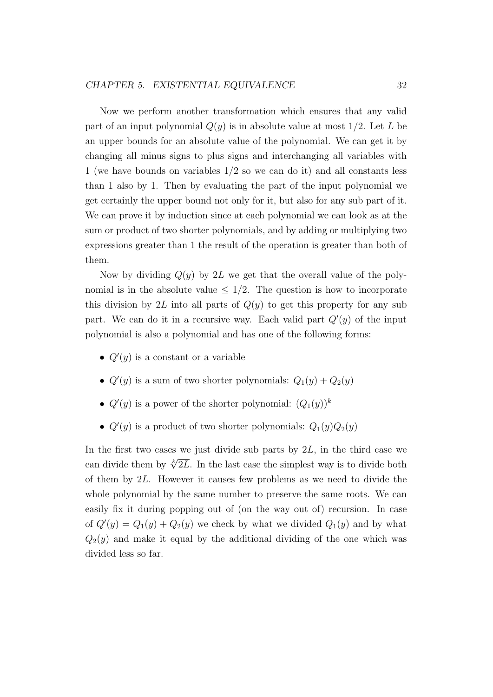Now we perform another transformation which ensures that any valid part of an input polynomial  $Q(y)$  is in absolute value at most  $1/2$ . Let L be an upper bounds for an absolute value of the polynomial. We can get it by changing all minus signs to plus signs and interchanging all variables with 1 (we have bounds on variables 1/2 so we can do it) and all constants less than 1 also by 1. Then by evaluating the part of the input polynomial we get certainly the upper bound not only for it, but also for any sub part of it. We can prove it by induction since at each polynomial we can look as at the sum or product of two shorter polynomials, and by adding or multiplying two expressions greater than 1 the result of the operation is greater than both of them.

Now by dividing  $Q(y)$  by 2L we get that the overall value of the polynomial is in the absolute value  $\leq 1/2$ . The question is how to incorporate this division by 2L into all parts of  $Q(y)$  to get this property for any sub part. We can do it in a recursive way. Each valid part  $Q'(y)$  of the input polynomial is also a polynomial and has one of the following forms:

- $Q'(y)$  is a constant or a variable
- $Q'(y)$  is a sum of two shorter polynomials:  $Q_1(y) + Q_2(y)$
- $Q'(y)$  is a power of the shorter polynomial:  $(Q_1(y))^k$
- $Q'(y)$  is a product of two shorter polynomials:  $Q_1(y)Q_2(y)$

In the first two cases we just divide sub parts by  $2L$ , in the third case we can divide them by  $\sqrt[k]{2L}$ . In the last case the simplest way is to divide both of them by  $2L$ . However it causes few problems as we need to divide the whole polynomial by the same number to preserve the same roots. We can easily fix it during popping out of (on the way out of) recursion. In case of  $Q'(y) = Q_1(y) + Q_2(y)$  we check by what we divided  $Q_1(y)$  and by what  $Q_2(y)$  and make it equal by the additional dividing of the one which was divided less so far.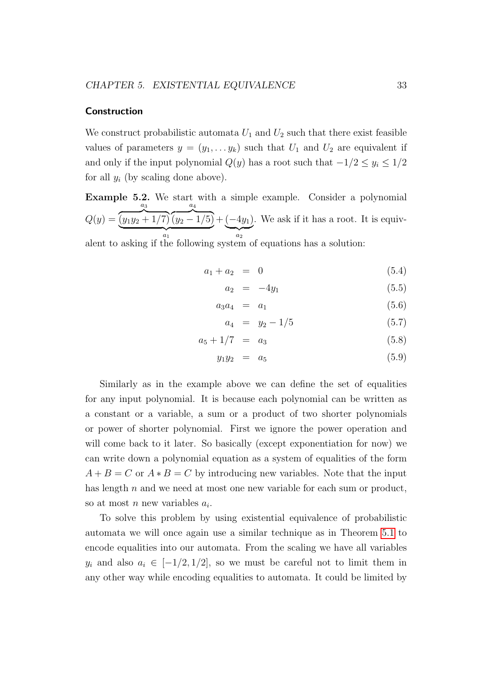#### **Construction**

We construct probabilistic automata  $U_1$  and  $U_2$  such that there exist feasible values of parameters  $y = (y_1, \ldots, y_k)$  such that  $U_1$  and  $U_2$  are equivalent if and only if the input polynomial  $Q(y)$  has a root such that  $-1/2 \leq y_i \leq 1/2$ for all  $y_i$  (by scaling done above).

Example 5.2. We start with a simple example. Consider a polynomial  $Q(y) =$  $a_3$  $\sqrt{(y_1y_2+1/7)}$  $a_4$  $\sqrt{(y_2-1/5)}$  ${a_1}$  $+ (-4y_1)$  $\overline{a_2}$ . We ask if it has a root. It is equiv-

alent to asking if the following system of equations has a solution:

$$
a_1 + a_2 = 0 \tag{5.4}
$$

$$
a_2 = -4y_1 \tag{5.5}
$$

$$
a_3 a_4 = a_1 \t\t(5.6)
$$

$$
a_4 = y_2 - 1/5 \tag{5.7}
$$

$$
a_5 + 1/7 = a_3 \tag{5.8}
$$

$$
y_1 y_2 = a_5 \t\t(5.9)
$$

Similarly as in the example above we can define the set of equalities for any input polynomial. It is because each polynomial can be written as a constant or a variable, a sum or a product of two shorter polynomials or power of shorter polynomial. First we ignore the power operation and will come back to it later. So basically (except exponentiation for now) we can write down a polynomial equation as a system of equalities of the form  $A + B = C$  or  $A * B = C$  by introducing new variables. Note that the input has length  $n$  and we need at most one new variable for each sum or product, so at most  $n$  new variables  $a_i$ .

To solve this problem by using existential equivalence of probabilistic automata we will once again use a similar technique as in Theorem [5.1](#page-29-2) to encode equalities into our automata. From the scaling we have all variables  $y_i$  and also  $a_i \in [-1/2, 1/2]$ , so we must be careful not to limit them in any other way while encoding equalities to automata. It could be limited by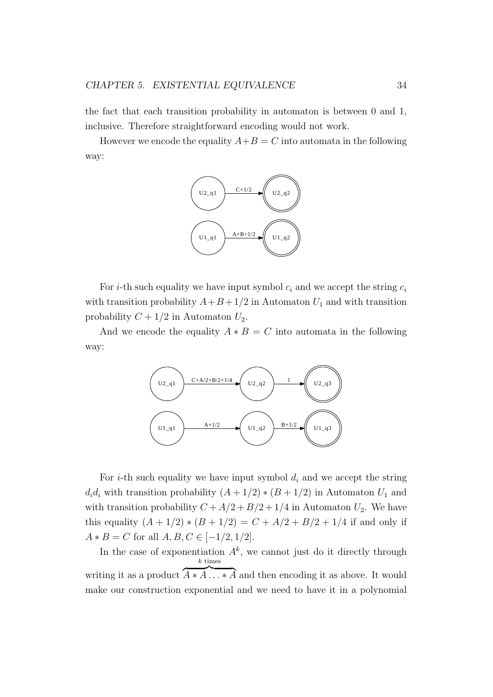the fact that each transition probability in automaton is between 0 and 1, inclusive. Therefore straightforward encoding would not work.

However we encode the equality  $A+B=C$  into automata in the following way:



For *i*-th such equality we have input symbol  $c_i$  and we accept the string  $c_i$ with transition probability  $A+B+1/2$  in Automaton  $U_1$  and with transition probability  $C + 1/2$  in Automaton  $U_2$ .

And we encode the equality  $A * B = C$  into automata in the following way:



For *i*-th such equality we have input symbol  $d_i$  and we accept the string  $d_i d_i$  with transition probability  $(A + 1/2) * (B + 1/2)$  in Automaton  $U_1$  and with transition probability  $C + A/2 + B/2 + 1/4$  in Automaton  $U_2$ . We have this equality  $(A + 1/2) * (B + 1/2) = C + A/2 + B/2 + 1/4$  if and only if  $A * B = C$  for all  $A, B, C \in [-1/2, 1/2]$ .

In the case of exponentiation  $A^k$ , we cannot just do it directly through writing it as a product  $\overline{A*A}$ ...\*  $\overline{A}$  and then encoding it as above. It would  $k$  times make our construction exponential and we need to have it in a polynomial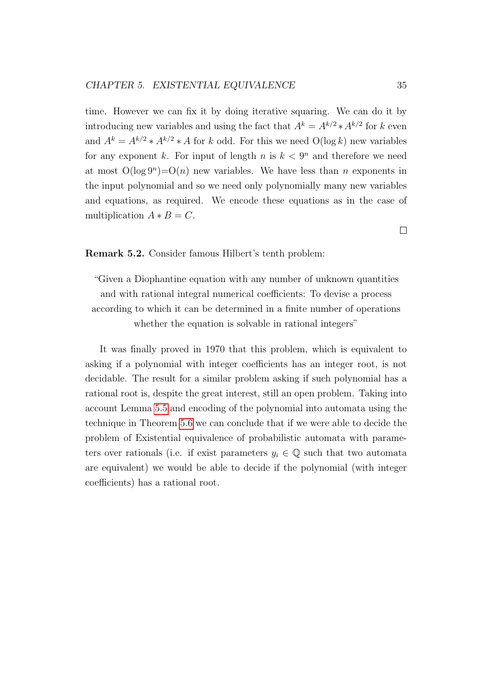time. However we can fix it by doing iterative squaring. We can do it by introducing new variables and using the fact that  $A^k = A^{k/2} * A^{k/2}$  for k even and  $A^k = A^{k/2} * A^{k/2} * A$  for k odd. For this we need  $O(\log k)$  new variables for any exponent k. For input of length n is  $k < 9<sup>n</sup>$  and therefore we need at most  $O(\log 9^n) = O(n)$  new variables. We have less than *n* exponents in the input polynomial and so we need only polynomially many new variables and equations, as required. We encode these equations as in the case of multiplication  $A * B = C$ .

Remark 5.2. Consider famous Hilbert's tenth problem:

"Given a Diophantine equation with any number of unknown quantities and with rational integral numerical coefficients: To devise a process according to which it can be determined in a finite number of operations whether the equation is solvable in rational integers"

It was finally proved in 1970 that this problem, which is equivalent to asking if a polynomial with integer coefficients has an integer root, is not decidable. The result for a similar problem asking if such polynomial has a rational root is, despite the great interest, still an open problem. Taking into account Lemma [5.5](#page-34-1) and encoding of the polynomial into automata using the technique in Theorem [5.6](#page-34-2) we can conclude that if we were able to decide the problem of Existential equivalence of probabilistic automata with parameters over rationals (i.e. if exist parameters  $y_i \in \mathbb{Q}$  such that two automata are equivalent) we would be able to decide if the polynomial (with integer coefficients) has a rational root.

 $\Box$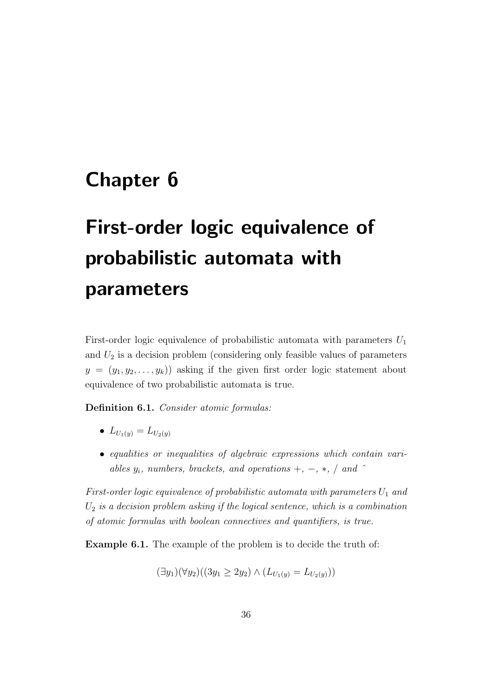## <span id="page-39-0"></span>Chapter 6

# First-order logic equivalence of probabilistic automata with parameters

First-order logic equivalence of probabilistic automata with parameters  $U_1$ and  $U_2$  is a decision problem (considering only feasible values of parameters  $y = (y_1, y_2, \ldots, y_k)$  asking if the given first order logic statement about equivalence of two probabilistic automata is true.

Definition 6.1. Consider atomic formulas:

- $\bullet$   $L_{U_1(y)} = L_{U_2(y)}$
- ∙ equalities or inequalities of algebraic expressions which contain variables  $y_i$ , numbers, brackets, and operations  $+$ ,  $-$ ,  $*$ ,  $/$  and  $\hat{ }$

First-order logic equivalence of probabilistic automata with parameters  $U_1$  and  $U_2$  is a decision problem asking if the logical sentence, which is a combination of atomic formulas with boolean connectives and quantifiers, is true.

Example 6.1. The example of the problem is to decide the truth of:

$$
(\exists y_1)(\forall y_2)((3y_1 \ge 2y_2) \land (L_{U_1(y)} = L_{U_2(y)}))
$$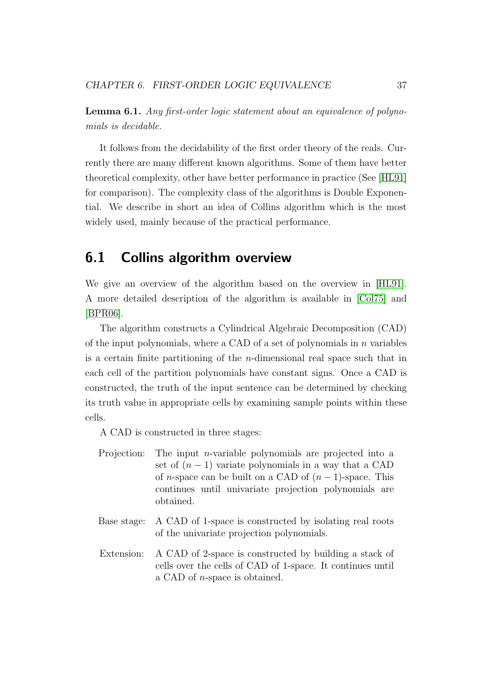<span id="page-40-1"></span>Lemma 6.1. Any first-order logic statement about an equivalence of polynomials is decidable.

It follows from the decidability of the first order theory of the reals. Currently there are many different known algorithms. Some of them have better theoretical complexity, other have better performance in practice (See [\[HL91\]](#page-61-10) for comparison). The complexity class of the algorithms is Double Exponential. We describe in short an idea of Collins algorithm which is the most widely used, mainly because of the practical performance.

## <span id="page-40-0"></span>6.1 Collins algorithm overview

We give an overview of the algorithm based on the overview in [\[HL91\]](#page-61-10). A more detailed description of the algorithm is available in [\[Col75\]](#page-60-6) and [\[BPR06\]](#page-60-4).

The algorithm constructs a Cylindrical Algebraic Decomposition (CAD) of the input polynomials, where a CAD of a set of polynomials in  $n$  variables is a certain finite partitioning of the  $n$ -dimensional real space such that in each cell of the partition polynomials have constant signs. Once a CAD is constructed, the truth of the input sentence can be determined by checking its truth value in appropriate cells by examining sample points within these cells.

A CAD is constructed in three stages:

- Projection: The input *n*-variable polynomials are projected into a set of  $(n - 1)$  variate polynomials in a way that a CAD of *n*-space can be built on a CAD of  $(n-1)$ -space. This continues until univariate projection polynomials are obtained.
- Base stage: A CAD of 1-space is constructed by isolating real roots of the univariate projection polynomials.
- Extension: A CAD of 2-space is constructed by building a stack of cells over the cells of CAD of 1-space. It continues until a CAD of  $n$ -space is obtained.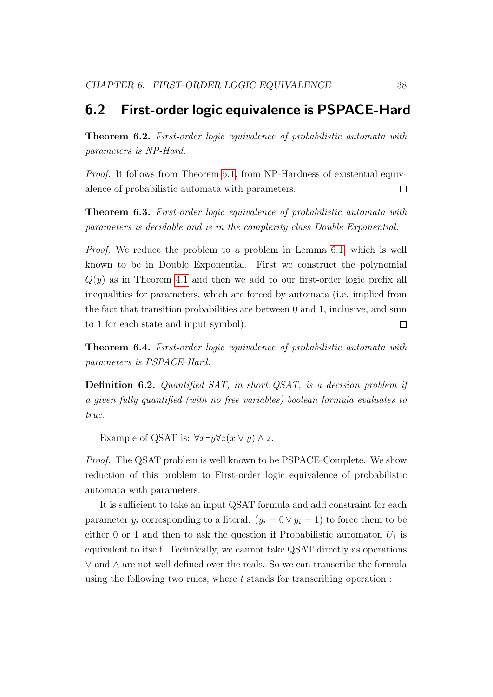## <span id="page-41-0"></span>6.2 First-order logic equivalence is PSPACE-Hard

Theorem 6.2. First-order logic equivalence of probabilistic automata with parameters is NP-Hard.

Proof. It follows from Theorem [5.1,](#page-29-2) from NP-Hardness of existential equivalence of probabilistic automata with parameters.  $\Box$ 

Theorem 6.3. First-order logic equivalence of probabilistic automata with parameters is decidable and is in the complexity class Double Exponential.

Proof. We reduce the problem to a problem in Lemma [6.1,](#page-40-1) which is well known to be in Double Exponential. First we construct the polynomial  $Q(y)$  as in Theorem [4.1](#page-21-2) and then we add to our first-order logic prefix all inequalities for parameters, which are forced by automata (i.e. implied from the fact that transition probabilities are between 0 and 1, inclusive, and sum to 1 for each state and input symbol).  $\Box$ 

**Theorem 6.4.** First-order logic equivalence of probabilistic automata with parameters is PSPACE-Hard.

Definition 6.2. Quantified SAT, in short QSAT, is a decision problem if a given fully quantified (with no free variables) boolean formula evaluates to true.

Example of QSAT is:  $\forall x \exists y \forall z (x \lor y) \land z$ .

Proof. The QSAT problem is well known to be PSPACE-Complete. We show reduction of this problem to First-order logic equivalence of probabilistic automata with parameters.

It is sufficient to take an input QSAT formula and add constraint for each parameter  $y_i$  corresponding to a literal:  $(y_i = 0 \vee y_i = 1)$  to force them to be either 0 or 1 and then to ask the question if Probabilistic automaton  $U_1$  is equivalent to itself. Technically, we cannot take QSAT directly as operations ∨ and ∧ are not well defined over the reals. So we can transcribe the formula using the following two rules, where  $t$  stands for transcribing operation :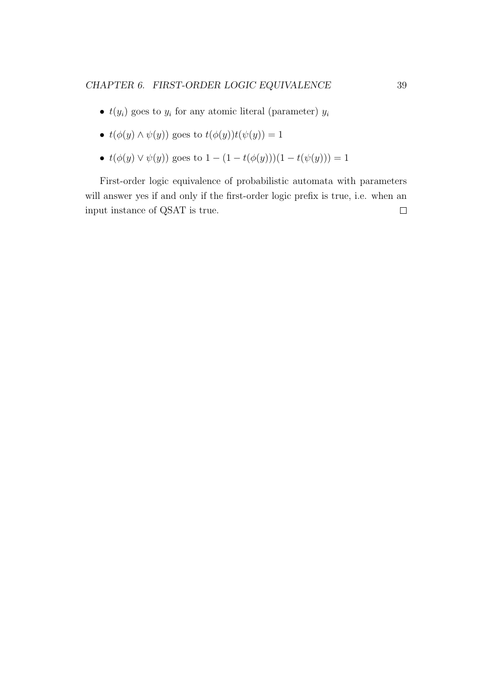- $t(y_i)$  goes to  $y_i$  for any atomic literal (parameter)  $y_i$
- $t(\phi(y) \wedge \psi(y))$  goes to  $t(\phi(y))t(\psi(y)) = 1$
- $t(\phi(y) \vee \psi(y))$  goes to  $1 (1 t(\phi(y)))(1 t(\psi(y))) = 1$

First-order logic equivalence of probabilistic automata with parameters will answer yes if and only if the first-order logic prefix is true, i.e. when an input instance of QSAT is true. $\Box$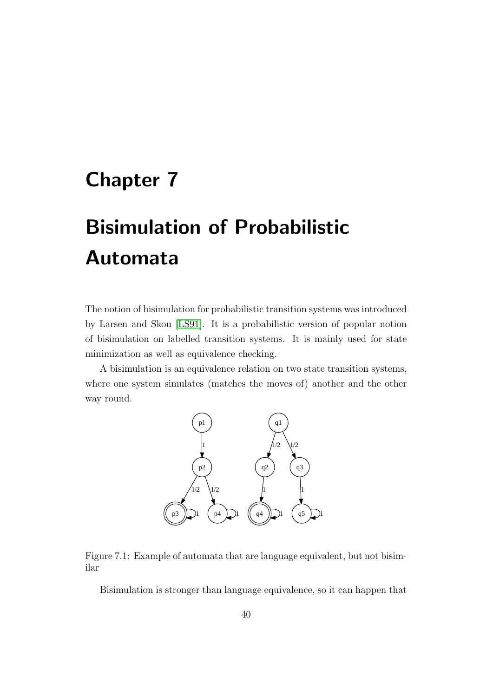## <span id="page-43-0"></span>Chapter 7

# Bisimulation of Probabilistic Automata

The notion of bisimulation for probabilistic transition systems was introduced by Larsen and Skou [\[LS91\]](#page-61-11). It is a probabilistic version of popular notion of bisimulation on labelled transition systems. It is mainly used for state minimization as well as equivalence checking.

A bisimulation is an equivalence relation on two state transition systems, where one system simulates (matches the moves of) another and the other way round.



<span id="page-43-1"></span>Figure 7.1: Example of automata that are language equivalent, but not bisimilar

Bisimulation is stronger than language equivalence, so it can happen that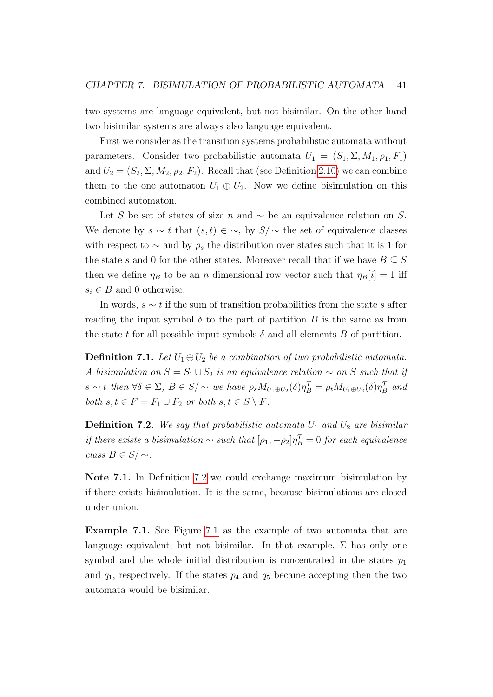two systems are language equivalent, but not bisimilar. On the other hand two bisimilar systems are always also language equivalent.

First we consider as the transition systems probabilistic automata without parameters. Consider two probabilistic automata  $U_1 = (S_1, \Sigma, M_1, \rho_1, F_1)$ and  $U_2 = (S_2, \Sigma, M_2, \rho_2, F_2)$ . Recall that (see Definition [2.10\)](#page-10-2) we can combine them to the one automaton  $U_1 \oplus U_2$ . Now we define bisimulation on this combined automaton.

Let S be set of states of size n and  $\sim$  be an equivalence relation on S. We denote by  $s \sim t$  that  $(s, t) \in \sim$ , by  $S/\sim$  the set of equivalence classes with respect to  $\sim$  and by  $\rho_s$  the distribution over states such that it is 1 for the state s and 0 for the other states. Moreover recall that if we have  $B \subseteq S$ then we define  $\eta_B$  to be an n dimensional row vector such that  $\eta_B[i] = 1$  iff  $s_i \in B$  and 0 otherwise.

In words,  $s \sim t$  if the sum of transition probabilities from the state s after reading the input symbol  $\delta$  to the part of partition B is the same as from the state t for all possible input symbols  $\delta$  and all elements B of partition.

**Definition 7.1.** Let  $U_1 \oplus U_2$  be a combination of two probabilistic automata. A bisimulation on  $S = S_1 \cup S_2$  is an equivalence relation ~ on S such that if  $s \sim t$  then  $\forall \delta \in \Sigma$ ,  $B \in S/\sim$  we have  $\rho_s M_{U_1 \oplus U_2}(\delta) \eta_B^T = \rho_t M_{U_1 \oplus U_2}(\delta) \eta_B^T$  and both  $s, t \in F = F_1 \cup F_2$  or both  $s, t \in S \setminus F$ .

<span id="page-44-0"></span>**Definition 7.2.** We say that probabilistic automata  $U_1$  and  $U_2$  are bisimilar if there exists a bisimulation  $\sim$  such that  $[\rho_1, -\rho_2] \eta_B^T = 0$  for each equivalence class  $B \in S/\sim$ .

Note 7.1. In Definition [7.2](#page-44-0) we could exchange maximum bisimulation by if there exists bisimulation. It is the same, because bisimulations are closed under union.

Example 7.1. See Figure [7.1](#page-43-1) as the example of two automata that are language equivalent, but not bisimilar. In that example,  $\Sigma$  has only one symbol and the whole initial distribution is concentrated in the states  $p_1$ and  $q_1$ , respectively. If the states  $p_4$  and  $q_5$  became accepting then the two automata would be bisimilar.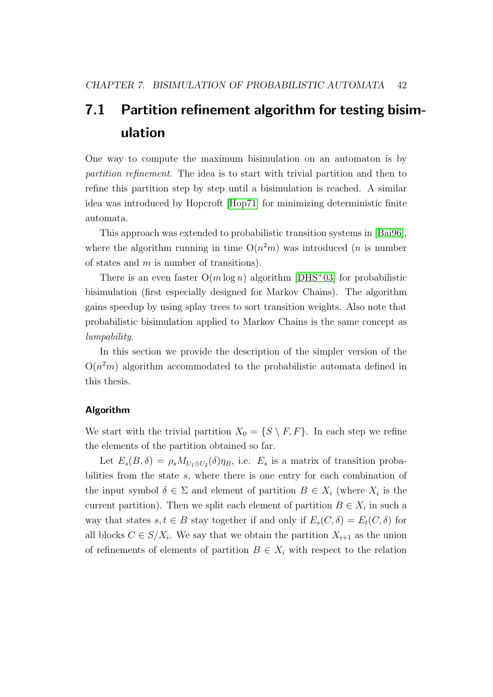## <span id="page-45-0"></span>7.1 Partition refinement algorithm for testing bisimulation

One way to compute the maximum bisimulation on an automaton is by partition refinement. The idea is to start with trivial partition and then to refine this partition step by step until a bisimulation is reached. A similar idea was introduced by Hopcroft [\[Hop71\]](#page-61-3) for minimizing deterministic finite automata.

This approach was extended to probabilistic transition systems in [\[Bai96\]](#page-60-1), where the algorithm running in time  $O(n^2m)$  was introduced (*n* is number of states and  $m$  is number of transitions).

There is an even faster  $O(m \log n)$  algorithm [\[DHS](#page-60-2)+03] for probabilistic bisimulation (first especially designed for Markov Chains). The algorithm gains speedup by using splay trees to sort transition weights. Also note that probabilistic bisimulation applied to Markov Chains is the same concept as lumpability.

In this section we provide the description of the simpler version of the  $O(n^2m)$  algorithm accommodated to the probabilistic automata defined in this thesis.

### Algorithm

We start with the trivial partition  $X_0 = \{S \setminus F, F\}$ . In each step we refine the elements of the partition obtained so far.

Let  $E_s(B,\delta) = \rho_s M_{U_1 \oplus U_2}(\delta) \eta_B$ , i.e.  $E_s$  is a matrix of transition probabilities from the state  $s$ , where there is one entry for each combination of the input symbol  $\delta \in \Sigma$  and element of partition  $B \in X_i$  (where  $X_i$  is the current partition). Then we split each element of partition  $B \in X_i$  in such a way that states  $s, t \in B$  stay together if and only if  $E_s(C, \delta) = E_t(C, \delta)$  for all blocks  $C \in S/X_i$ . We say that we obtain the partition  $X_{i+1}$  as the union of refinements of elements of partition  $B \in X_i$  with respect to the relation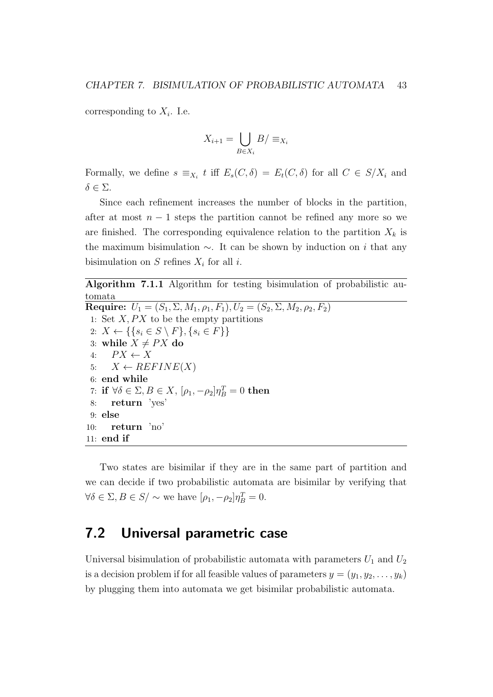corresponding to  $X_i$ . I.e.

$$
X_{i+1} = \bigcup_{B \in X_i} B / \equiv_{X_i}
$$

Formally, we define  $s \equiv_{X_i} t$  iff  $E_s(C, \delta) = E_t(C, \delta)$  for all  $C \in S/X_i$  and  $\delta \in \Sigma$ .

Since each refinement increases the number of blocks in the partition, after at most  $n-1$  steps the partition cannot be refined any more so we are finished. The corresponding equivalence relation to the partition  $X_k$  is the maximum bisimulation  $\sim$ . It can be shown by induction on *i* that any bisimulation on  $S$  refines  $X_i$  for all  $i$ .

<span id="page-46-1"></span>Algorithm 7.1.1 Algorithm for testing bisimulation of probabilistic automata Require:  $U_1 = (S_1, \Sigma, M_1, \rho_1, F_1), U_2 = (S_2, \Sigma, M_2, \rho_2, F_2)$ 1: Set  $X$ ,  $PX$  to be the empty partitions 2:  $X \leftarrow \{ \{ s_i \in S \setminus F \}, \{ s_i \in F \} \}$ 3: while  $X \neq PX$  do 4:  $PX \leftarrow X$ 5:  $X \leftarrow REFINE(X)$ 6: end while 7: if ∀ $\delta \in \Sigma, B \in X$ ,  $[\rho_1, -\rho_2] \eta_B^T = 0$  then 8: return 'yes' 9: else 10: return 'no' 11: end if

Two states are bisimilar if they are in the same part of partition and we can decide if two probabilistic automata are bisimilar by verifying that  $\forall \delta \in \Sigma, B \in S / \sim$  we have  $[\rho_1, -\rho_2] \eta_B^T = 0$ .

## <span id="page-46-0"></span>7.2 Universal parametric case

Universal bisimulation of probabilistic automata with parameters  $U_1$  and  $U_2$ is a decision problem if for all feasible values of parameters  $y = (y_1, y_2, \ldots, y_k)$ by plugging them into automata we get bisimilar probabilistic automata.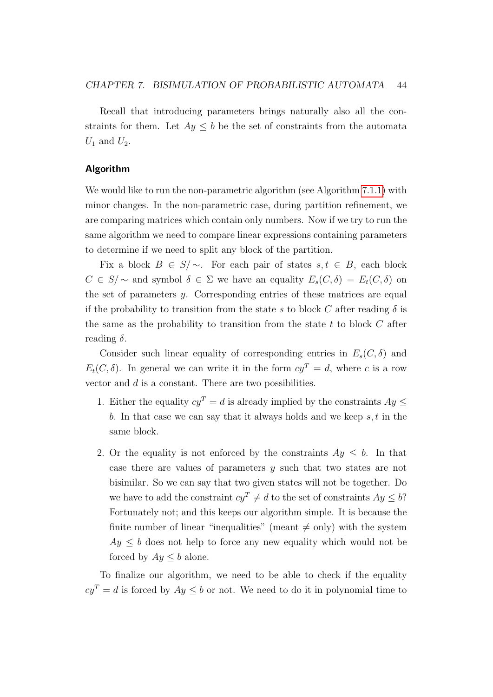Recall that introducing parameters brings naturally also all the constraints for them. Let  $Ay \leq b$  be the set of constraints from the automata  $U_1$  and  $U_2$ .

#### Algorithm

We would like to run the non-parametric algorithm (see Algorithm [7.1.1\)](#page-46-1) with minor changes. In the non-parametric case, during partition refinement, we are comparing matrices which contain only numbers. Now if we try to run the same algorithm we need to compare linear expressions containing parameters to determine if we need to split any block of the partition.

Fix a block  $B \in S/\sim$ . For each pair of states  $s, t \in B$ , each block  $C \in S/\sim$  and symbol  $\delta \in \Sigma$  we have an equality  $E_s(C,\delta) = E_t(C,\delta)$  on the set of parameters  $y$ . Corresponding entries of these matrices are equal if the probability to transition from the state s to block C after reading  $\delta$  is the same as the probability to transition from the state  $t$  to block  $C$  after reading  $\delta$ .

Consider such linear equality of corresponding entries in  $E_s(C, \delta)$  and  $E_t(C, \delta)$ . In general we can write it in the form  $cy^T = d$ , where c is a row vector and  $d$  is a constant. There are two possibilities.

- 1. Either the equality  $cy^T = d$  is already implied by the constraints  $Ay \leq$ b. In that case we can say that it always holds and we keep  $s, t$  in the same block.
- 2. Or the equality is not enforced by the constraints  $Ay \leq b$ . In that case there are values of parameters  $y$  such that two states are not bisimilar. So we can say that two given states will not be together. Do we have to add the constraint  $cy^T \neq d$  to the set of constraints  $Ay \leq b$ ? Fortunately not; and this keeps our algorithm simple. It is because the finite number of linear "inequalities" (meant  $\neq$  only) with the system  $Ay \leq b$  does not help to force any new equality which would not be forced by  $Ay \leq b$  alone.

To finalize our algorithm, we need to be able to check if the equality  $cy^T = d$  is forced by  $Ay \leq b$  or not. We need to do it in polynomial time to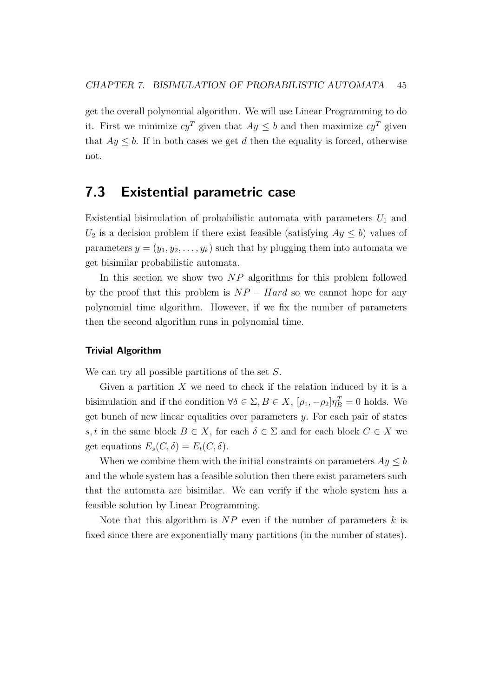get the overall polynomial algorithm. We will use Linear Programming to do it. First we minimize  $cy^T$  given that  $Ay \leq b$  and then maximize  $cy^T$  given that  $Ay \leq b$ . If in both cases we get d then the equality is forced, otherwise not.

## <span id="page-48-0"></span>7.3 Existential parametric case

Existential bisimulation of probabilistic automata with parameters  $U_1$  and  $U_2$  is a decision problem if there exist feasible (satisfying  $Ay \leq b$ ) values of parameters  $y = (y_1, y_2, \ldots, y_k)$  such that by plugging them into automata we get bisimilar probabilistic automata.

In this section we show two  $NP$  algorithms for this problem followed by the proof that this problem is  $NP - Hard$  so we cannot hope for any polynomial time algorithm. However, if we fix the number of parameters then the second algorithm runs in polynomial time.

### Trivial Algorithm

We can try all possible partitions of the set  $S$ .

Given a partition  $X$  we need to check if the relation induced by it is a bisimulation and if the condition  $\forall \delta \in \Sigma, B \in X$ ,  $[\rho_1, -\rho_2] \eta_B^T = 0$  holds. We get bunch of new linear equalities over parameters  $y$ . For each pair of states s, t in the same block  $B \in X$ , for each  $\delta \in \Sigma$  and for each block  $C \in X$  we get equations  $E_s(C, \delta) = E_t(C, \delta)$ .

When we combine them with the initial constraints on parameters  $Ay \leq b$ and the whole system has a feasible solution then there exist parameters such that the automata are bisimilar. We can verify if the whole system has a feasible solution by Linear Programming.

Note that this algorithm is  $NP$  even if the number of parameters  $k$  is fixed since there are exponentially many partitions (in the number of states).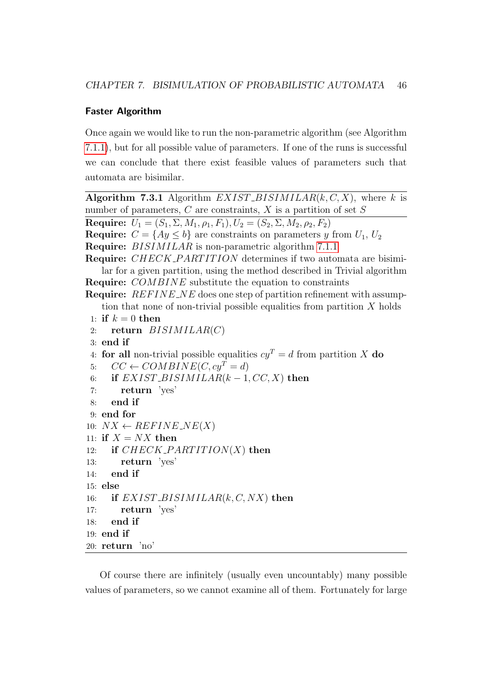### Faster Algorithm

Once again we would like to run the non-parametric algorithm (see Algorithm [7.1.1\)](#page-46-1), but for all possible value of parameters. If one of the runs is successful we can conclude that there exist feasible values of parameters such that automata are bisimilar.

```
Algorithm 7.3.1 Algorithm EXIST\_BISIMILAR(k, C, X), where k is
number of parameters, C are constraints, X is a partition of set SRequire: U_1 = (S_1, \Sigma, M_1, \rho_1, F_1), U_2 = (S_2, \Sigma, M_2, \rho_2, F_2)Require: C = \{Ay \leq b\} are constraints on parameters y from U_1, U_2Require: BISIMILAR 7.1.1
Require: CHECK_PARTITION determines if two automata are bisimi-
   lar for a given partition, using the method described in Trivial algorithm
Require: COMBINE substitute the equation to constraints
Require: REFINE\_NE does one step of partition refinement with assump-
   tion that none of non-trivial possible equalities from partition X holds
 1: if k = 0 then
 2: return BISIMILAR(C)3: end if
 4: for all non-trivial possible equalities cy^T = d from partition X do
 5: CC \leftarrow COMBINE(C, cy^T = d)6: if EXIST\_BISIMILAR(k-1, CC, X) then
 7: return 'yes'
 8: end if
 9: end for
10: NX \leftarrow REFINE\_NE(X)11: if X = N X then
12: if CHECK\_PARTITION(X) then
13: return 'yes'
14: end if
15<sub>15</sub> else
16: if EXIST\_BISIMILAR(k, C, NX) then
17: return 'yes'
18: end if
19: end if
20: return 'no'
```
Of course there are infinitely (usually even uncountably) many possible values of parameters, so we cannot examine all of them. Fortunately for large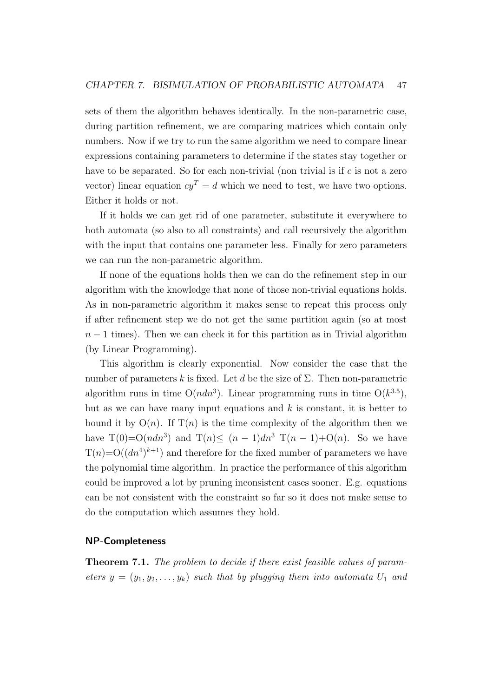sets of them the algorithm behaves identically. In the non-parametric case, during partition refinement, we are comparing matrices which contain only numbers. Now if we try to run the same algorithm we need to compare linear expressions containing parameters to determine if the states stay together or have to be separated. So for each non-trivial (non trivial is if  $c$  is not a zero vector) linear equation  $c\mathbf{y}^T = d$  which we need to test, we have two options. Either it holds or not.

If it holds we can get rid of one parameter, substitute it everywhere to both automata (so also to all constraints) and call recursively the algorithm with the input that contains one parameter less. Finally for zero parameters we can run the non-parametric algorithm.

If none of the equations holds then we can do the refinement step in our algorithm with the knowledge that none of those non-trivial equations holds. As in non-parametric algorithm it makes sense to repeat this process only if after refinement step we do not get the same partition again (so at most  $n-1$  times). Then we can check it for this partition as in Trivial algorithm (by Linear Programming).

This algorithm is clearly exponential. Now consider the case that the number of parameters k is fixed. Let d be the size of  $\Sigma$ . Then non-parametric algorithm runs in time  $O(ndn^3)$ . Linear programming runs in time  $O(k^{3.5})$ , but as we can have many input equations and  $k$  is constant, it is better to bound it by  $O(n)$ . If  $T(n)$  is the time complexity of the algorithm then we have  $T(0)=O(ndn^3)$  and  $T(n) \leq (n-1)dn^3$   $T(n-1)+O(n)$ . So we have  $T(n)=O((dn^4)^{k+1})$  and therefore for the fixed number of parameters we have the polynomial time algorithm. In practice the performance of this algorithm could be improved a lot by pruning inconsistent cases sooner. E.g. equations can be not consistent with the constraint so far so it does not make sense to do the computation which assumes they hold.

### NP-Completeness

<span id="page-50-0"></span>Theorem 7.1. The problem to decide if there exist feasible values of parameters  $y = (y_1, y_2, \ldots, y_k)$  such that by plugging them into automata  $U_1$  and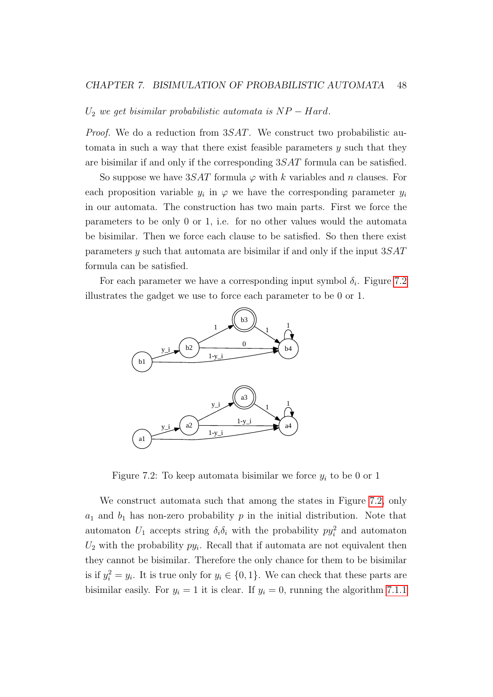#### $U_2$  we get bisimilar probabilistic automata is  $NP - Hard$ .

*Proof.* We do a reduction from  $3SAT$ . We construct two probabilistic automata in such a way that there exist feasible parameters  $y$  such that they are bisimilar if and only if the corresponding  $3SAT$  formula can be satisfied.

So suppose we have  $3SAT$  formula  $\varphi$  with k variables and n clauses. For each proposition variable  $y_i$  in  $\varphi$  we have the corresponding parameter  $y_i$ in our automata. The construction has two main parts. First we force the parameters to be only 0 or 1, i.e. for no other values would the automata be bisimilar. Then we force each clause to be satisfied. So then there exist parameters  $y$  such that automata are bisimilar if and only if the input  $3SAT$ formula can be satisfied.

For each parameter we have a corresponding input symbol  $\delta_i$ . Figure [7.2](#page-51-0) illustrates the gadget we use to force each parameter to be 0 or 1.



<span id="page-51-0"></span>Figure 7.2: To keep automata bisimilar we force  $y_i$  to be 0 or 1

We construct automata such that among the states in Figure [7.2,](#page-51-0) only  $a_1$  and  $b_1$  has non-zero probability  $p$  in the initial distribution. Note that automaton  $U_1$  accepts string  $\delta_i \delta_i$  with the probability  $py_i^2$  and automaton  $U_2$  with the probability  $py_i$ . Recall that if automata are not equivalent then they cannot be bisimilar. Therefore the only chance for them to be bisimilar is if  $y_i^2 = y_i$ . It is true only for  $y_i \in \{0, 1\}$ . We can check that these parts are bisimilar easily. For  $y_i = 1$  it is clear. If  $y_i = 0$ , running the algorithm [7.1.1](#page-46-1)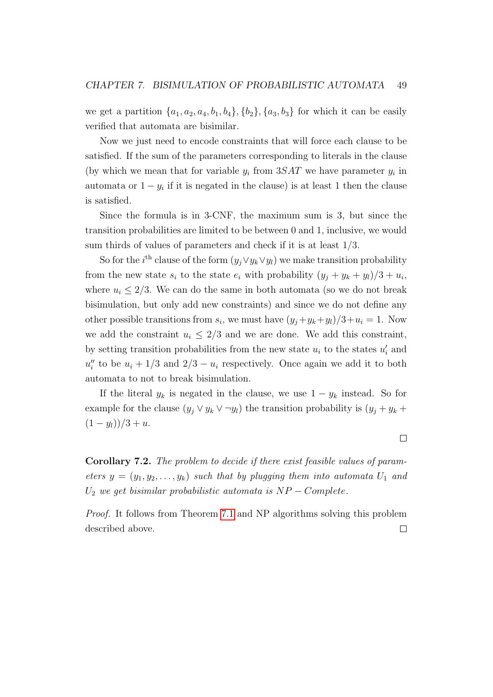we get a partition  $\{a_1, a_2, a_4, b_1, b_4\}, \{b_2\}, \{a_3, b_3\}$  for which it can be easily verified that automata are bisimilar.

Now we just need to encode constraints that will force each clause to be satisfied. If the sum of the parameters corresponding to literals in the clause (by which we mean that for variable  $y_i$  from  $3SAT$  we have parameter  $y_i$  in automata or  $1 - y_i$  if it is negated in the clause) is at least 1 then the clause is satisfied.

Since the formula is in 3-CNF, the maximum sum is 3, but since the transition probabilities are limited to be between 0 and 1, inclusive, we would sum thirds of values of parameters and check if it is at least 1/3.

So for the *i*<sup>th</sup> clause of the form  $(y_j \vee y_k \vee y_l)$  we make transition probability from the new state  $s_i$  to the state  $e_i$  with probability  $(y_j + y_k + y_l)/3 + u_i$ , where  $u_i \leq 2/3$ . We can do the same in both automata (so we do not break bisimulation, but only add new constraints) and since we do not define any other possible transitions from  $s_i$ , we must have  $(y_j + y_k + y_l)/3 + u_i = 1$ . Now we add the constraint  $u_i \leq 2/3$  and we are done. We add this constraint, by setting transition probabilities from the new state  $u_i$  to the states  $u'_i$  and  $u''_i$  to be  $u_i + 1/3$  and  $2/3 - u_i$  respectively. Once again we add it to both automata to not to break bisimulation.

If the literal  $y_k$  is negated in the clause, we use  $1 - y_k$  instead. So for example for the clause  $(y_j \vee y_k \vee \neg y_l)$  the transition probability is  $(y_j + y_k + \neg y_l)$  $(1 - y_l)/3 + u.$ 

Corollary 7.2. The problem to decide if there exist feasible values of parameters  $y = (y_1, y_2, \ldots, y_k)$  such that by plugging them into automata  $U_1$  and  $U_2$  we get bisimilar probabilistic automata is  $NP-Complete$ .

Proof. It follows from Theorem [7.1](#page-50-0) and NP algorithms solving this problem described above. $\Box$ 

 $\Box$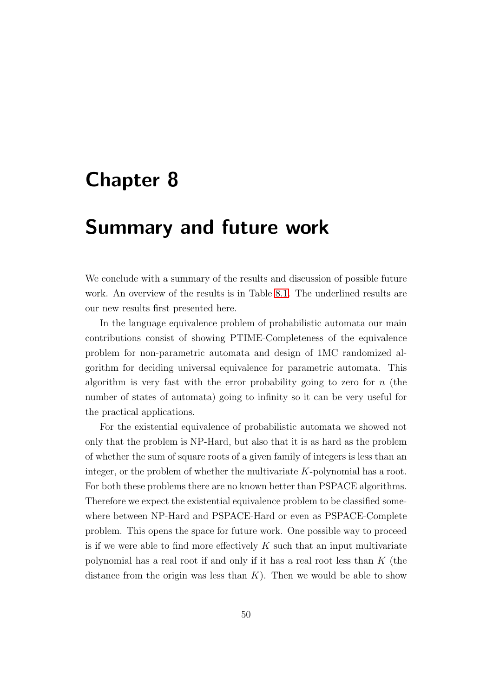## <span id="page-53-0"></span>Chapter 8

## Summary and future work

We conclude with a summary of the results and discussion of possible future work. An overview of the results is in Table [8.1.](#page-54-0) The underlined results are our new results first presented here.

In the language equivalence problem of probabilistic automata our main contributions consist of showing PTIME-Completeness of the equivalence problem for non-parametric automata and design of 1MC randomized algorithm for deciding universal equivalence for parametric automata. This algorithm is very fast with the error probability going to zero for  $n$  (the number of states of automata) going to infinity so it can be very useful for the practical applications.

For the existential equivalence of probabilistic automata we showed not only that the problem is NP-Hard, but also that it is as hard as the problem of whether the sum of square roots of a given family of integers is less than an integer, or the problem of whether the multivariate  $K$ -polynomial has a root. For both these problems there are no known better than PSPACE algorithms. Therefore we expect the existential equivalence problem to be classified somewhere between NP-Hard and PSPACE-Hard or even as PSPACE-Complete problem. This opens the space for future work. One possible way to proceed is if we were able to find more effectively  $K$  such that an input multivariate polynomial has a real root if and only if it has a real root less than  $K$  (the distance from the origin was less than  $K$ ). Then we would be able to show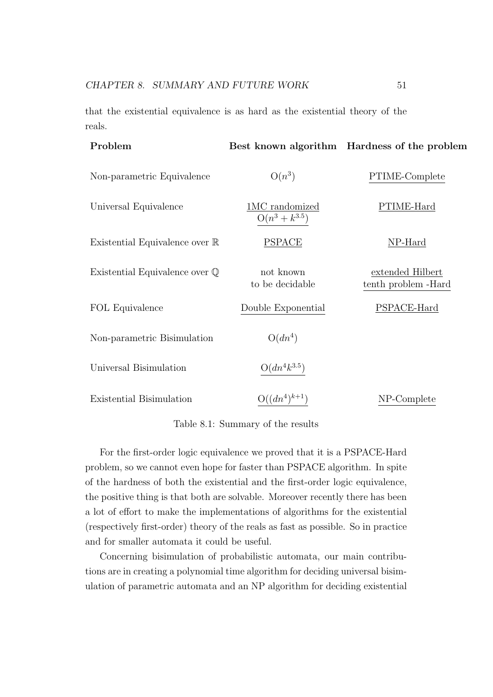that the existential equivalence is as hard as the existential theory of the reals.

| Problem                                  |                                      | Best known algorithm Hardness of the problem |
|------------------------------------------|--------------------------------------|----------------------------------------------|
| Non-parametric Equivalence               | $O(n^3)$                             | PTIME-Complete                               |
| Universal Equivalence                    | 1MC randomized<br>$O(n^3 + k^{3.5})$ | PTIME-Hard                                   |
| Existential Equivalence over R           | <b>PSPACE</b>                        | NP-Hard                                      |
| Existential Equivalence over $\mathbb Q$ | not known<br>to be decidable         | extended Hilbert<br>tenth problem - Hard     |
| FOL Equivalence                          | Double Exponential                   | PSPACE-Hard                                  |
| Non-parametric Bisimulation              | $O(dn^4)$                            |                                              |
| Universal Bisimulation                   | $O(dn^4k^{3.5})$                     |                                              |
| Existential Bisimulation                 | $O((dn^4)^{k+1})$                    | NP-Complete                                  |

<span id="page-54-0"></span>Table 8.1: Summary of the results

For the first-order logic equivalence we proved that it is a PSPACE-Hard problem, so we cannot even hope for faster than PSPACE algorithm. In spite of the hardness of both the existential and the first-order logic equivalence, the positive thing is that both are solvable. Moreover recently there has been a lot of effort to make the implementations of algorithms for the existential (respectively first-order) theory of the reals as fast as possible. So in practice and for smaller automata it could be useful.

Concerning bisimulation of probabilistic automata, our main contributions are in creating a polynomial time algorithm for deciding universal bisimulation of parametric automata and an NP algorithm for deciding existential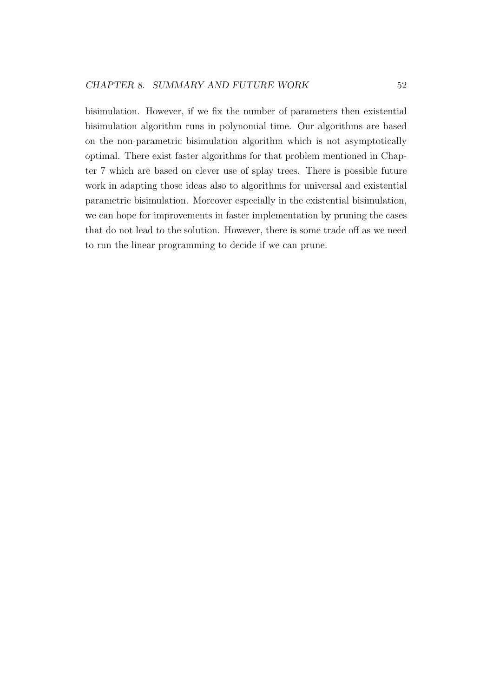bisimulation. However, if we fix the number of parameters then existential bisimulation algorithm runs in polynomial time. Our algorithms are based on the non-parametric bisimulation algorithm which is not asymptotically optimal. There exist faster algorithms for that problem mentioned in Chapter 7 which are based on clever use of splay trees. There is possible future work in adapting those ideas also to algorithms for universal and existential parametric bisimulation. Moreover especially in the existential bisimulation, we can hope for improvements in faster implementation by pruning the cases that do not lead to the solution. However, there is some trade off as we need to run the linear programming to decide if we can prune.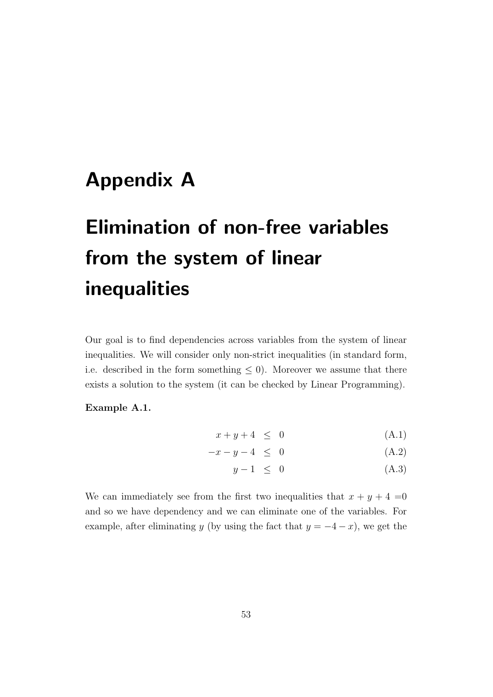## <span id="page-56-0"></span>Appendix A

# Elimination of non-free variables from the system of linear inequalities

Our goal is to find dependencies across variables from the system of linear inequalities. We will consider only non-strict inequalities (in standard form, i.e. described in the form something  $\leq 0$ ). Moreover we assume that there exists a solution to the system (it can be checked by Linear Programming).

### Example A.1.

$$
x + y + 4 \leq 0 \tag{A.1}
$$

$$
-x - y - 4 \leq 0 \tag{A.2}
$$

$$
y - 1 \leq 0 \tag{A.3}
$$

We can immediately see from the first two inequalities that  $x + y + 4 = 0$ and so we have dependency and we can eliminate one of the variables. For example, after eliminating y (by using the fact that  $y = -4 - x$ ), we get the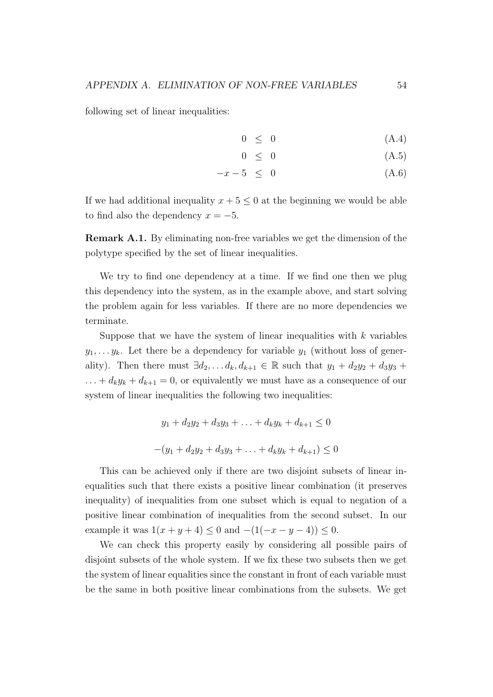following set of linear inequalities:

$$
0 \leq 0 \tag{A.4}
$$

$$
0 \leq 0 \tag{A.5}
$$

$$
-x - 5 \leq 0 \tag{A.6}
$$

If we had additional inequality  $x + 5 \leq 0$  at the beginning we would be able to find also the dependency  $x = -5$ .

Remark A.1. By eliminating non-free variables we get the dimension of the polytype specified by the set of linear inequalities.

We try to find one dependency at a time. If we find one then we plug this dependency into the system, as in the example above, and start solving the problem again for less variables. If there are no more dependencies we terminate.

Suppose that we have the system of linear inequalities with  $k$  variables  $y_1, \ldots, y_k$ . Let there be a dependency for variable  $y_1$  (without loss of generality). Then there must  $\exists d_2, \ldots d_k, d_{k+1} \in \mathbb{R}$  such that  $y_1 + d_2y_2 + d_3y_3 +$  $\ldots + d_k y_k + d_{k+1} = 0$ , or equivalently we must have as a consequence of our system of linear inequalities the following two inequalities:

$$
y_1 + d_2y_2 + d_3y_3 + \ldots + d_ky_k + d_{k+1} \le 0
$$
  
-(y<sub>1</sub> + d<sub>2</sub>y<sub>2</sub> + d<sub>3</sub>y<sub>3</sub> + \ldots + d\_ky<sub>k</sub> + d<sub>k+1</sub>) \le 0

This can be achieved only if there are two disjoint subsets of linear inequalities such that there exists a positive linear combination (it preserves inequality) of inequalities from one subset which is equal to negation of a positive linear combination of inequalities from the second subset. In our example it was  $1(x + y + 4) \le 0$  and  $-(1(-x - y - 4)) \le 0$ .

We can check this property easily by considering all possible pairs of disjoint subsets of the whole system. If we fix these two subsets then we get the system of linear equalities since the constant in front of each variable must be the same in both positive linear combinations from the subsets. We get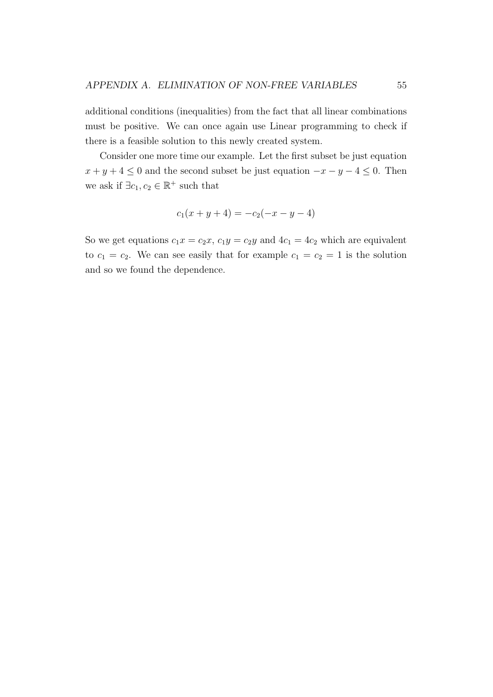additional conditions (inequalities) from the fact that all linear combinations must be positive. We can once again use Linear programming to check if there is a feasible solution to this newly created system.

Consider one more time our example. Let the first subset be just equation  $x + y + 4 \leq 0$  and the second subset be just equation  $-x - y - 4 \leq 0$ . Then we ask if  $\exists c_1, c_2 \in \mathbb{R}^+$  such that

$$
c_1(x + y + 4) = -c_2(-x - y - 4)
$$

So we get equations  $c_1x = c_2x$ ,  $c_1y = c_2y$  and  $4c_1 = 4c_2$  which are equivalent to  $c_1 = c_2$ . We can see easily that for example  $c_1 = c_2 = 1$  is the solution and so we found the dependence.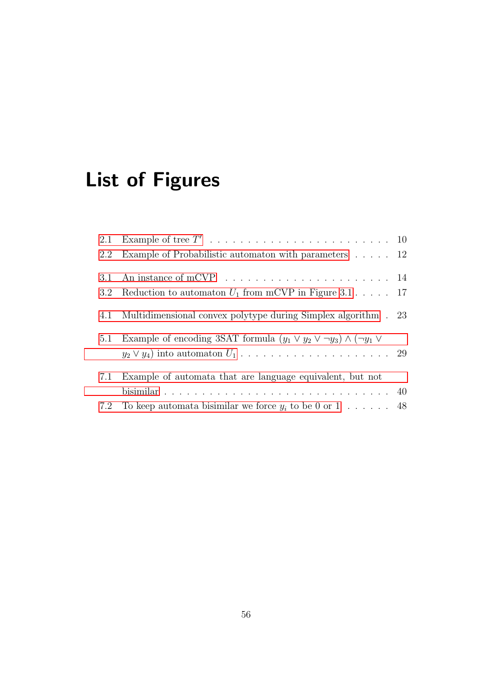# List of Figures

| 2.2 | Example of Probabilistic automaton with parameters $\dots$ . 12                                 |  |
|-----|-------------------------------------------------------------------------------------------------|--|
| 3.1 |                                                                                                 |  |
| 3.2 | Reduction to automaton $U_1$ from mCVP in Figure 3.1 17                                         |  |
| 4.1 | Multidimensional convex polytype during Simplex algorithm . 23                                  |  |
| 5.1 | Example of encoding 3SAT formula $(y_1 \vee y_2 \vee \neg y_3) \wedge (\neg y_1 \vee \neg y_2)$ |  |
| 7.1 | Example of automata that are language equivalent, but not                                       |  |
|     |                                                                                                 |  |
| 7.2 | To keep automata bisimilar we force $y_i$ to be 0 or 1 48                                       |  |
|     |                                                                                                 |  |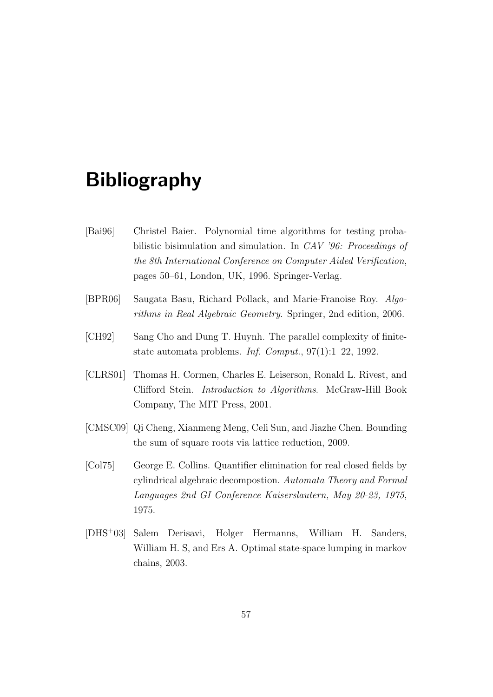## Bibliography

- <span id="page-60-1"></span>[Bai96] Christel Baier. Polynomial time algorithms for testing probabilistic bisimulation and simulation. In CAV '96: Proceedings of the 8th International Conference on Computer Aided Verification, pages 50–61, London, UK, 1996. Springer-Verlag.
- <span id="page-60-4"></span>[BPR06] Saugata Basu, Richard Pollack, and Marie-Franoise Roy. Algorithms in Real Algebraic Geometry. Springer, 2nd edition, 2006.
- <span id="page-60-0"></span>[CH92] Sang Cho and Dung T. Huynh. The parallel complexity of finitestate automata problems. Inf. Comput., 97(1):1–22, 1992.
- <span id="page-60-3"></span>[CLRS01] Thomas H. Cormen, Charles E. Leiserson, Ronald L. Rivest, and Clifford Stein. Introduction to Algorithms. McGraw-Hill Book Company, The MIT Press, 2001.
- <span id="page-60-5"></span>[CMSC09] Qi Cheng, Xianmeng Meng, Celi Sun, and Jiazhe Chen. Bounding the sum of square roots via lattice reduction, 2009.
- <span id="page-60-6"></span>[Col75] George E. Collins. Quantifier elimination for real closed fields by cylindrical algebraic decompostion. Automata Theory and Formal Languages 2nd GI Conference Kaiserslautern, May 20-23, 1975, 1975.
- <span id="page-60-2"></span>[DHS<sup>+</sup>03] Salem Derisavi, Holger Hermanns, William H. Sanders, William H. S, and Ers A. Optimal state-space lumping in markov chains, 2003.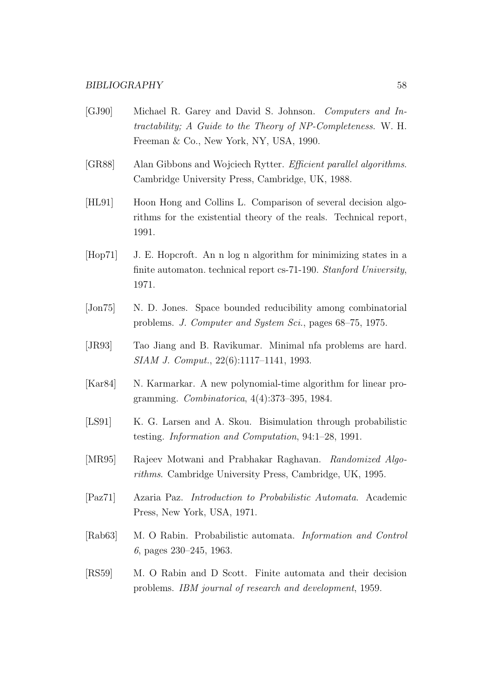#### BIBLIOGRAPHY 58

- <span id="page-61-2"></span>[GJ90] Michael R. Garey and David S. Johnson. Computers and Intractability; A Guide to the Theory of NP-Completeness. W. H. Freeman & Co., New York, NY, USA, 1990.
- <span id="page-61-7"></span>[GR88] Alan Gibbons and Wojciech Rytter. Efficient parallel algorithms. Cambridge University Press, Cambridge, UK, 1988.
- <span id="page-61-10"></span>[HL91] Hoon Hong and Collins L. Comparison of several decision algorithms for the existential theory of the reals. Technical report, 1991.
- <span id="page-61-3"></span>[Hop71] J. E. Hopcroft. An n log n algorithm for minimizing states in a finite automaton. technical report cs-71-190. Stanford University, 1971.
- <span id="page-61-5"></span>[Jon75] N. D. Jones. Space bounded reducibility among combinatorial problems. J. Computer and System Sci., pages 68–75, 1975.
- <span id="page-61-4"></span>[JR93] Tao Jiang and B. Ravikumar. Minimal nfa problems are hard. SIAM J. Comput., 22(6):1117–1141, 1993.
- <span id="page-61-9"></span>[Kar84] N. Karmarkar. A new polynomial-time algorithm for linear programming. Combinatorica, 4(4):373–395, 1984.
- <span id="page-61-11"></span>[LS91] K. G. Larsen and A. Skou. Bisimulation through probabilistic testing. Information and Computation, 94:1–28, 1991.
- <span id="page-61-8"></span>[MR95] Rajeev Motwani and Prabhakar Raghavan. Randomized Algorithms. Cambridge University Press, Cambridge, UK, 1995.
- <span id="page-61-6"></span>[Paz71] Azaria Paz. Introduction to Probabilistic Automata. Academic Press, New York, USA, 1971.
- <span id="page-61-1"></span>[Rab63] M. O Rabin. Probabilistic automata. Information and Control 6, pages 230–245, 1963.
- <span id="page-61-0"></span>[RS59] M. O Rabin and D Scott. Finite automata and their decision problems. IBM journal of research and development, 1959.